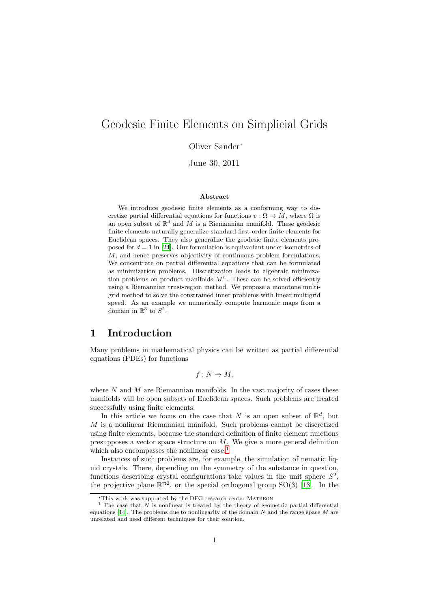# Geodesic Finite Elements on Simplicial Grids

Oliver Sander<sup>∗</sup>

June 30, 2011

#### Abstract

We introduce geodesic finite elements as a conforming way to discretize partial differential equations for functions  $v : \Omega \to M$ , where  $\Omega$  is an open subset of  $\mathbb{R}^d$  and M is a Riemannian manifold. These geodesic finite elements naturally generalize standard first-order finite elements for Euclidean spaces. They also generalize the geodesic finite elements proposed for  $d = 1$  in [\[24\]](#page-30-0). Our formulation is equivariant under isometries of M, and hence preserves objectivity of continuous problem formulations. We concentrate on partial differential equations that can be formulated as minimization problems. Discretization leads to algebraic minimization problems on product manifolds  $M<sup>n</sup>$ . These can be solved efficiently using a Riemannian trust-region method. We propose a monotone multigrid method to solve the constrained inner problems with linear multigrid speed. As an example we numerically compute harmonic maps from a domain in  $\mathbb{R}^3$  to  $S^2$ .

# 1 Introduction

Many problems in mathematical physics can be written as partial differential equations (PDEs) for functions

 $f: N \to M$ ,

where  $N$  and  $M$  are Riemannian manifolds. In the vast majority of cases these manifolds will be open subsets of Euclidean spaces. Such problems are treated successfully using finite elements.

In this article we focus on the case that N is an open subset of  $\mathbb{R}^d$ , but  $M$  is a nonlinear Riemannian manifold. Such problems cannot be discretized using finite elements, because the standard definition of finite element functions presupposes a vector space structure on  $M$ . We give a more general definition which also encompasses the nonlinear case.<sup>[1](#page-0-0)</sup>

Instances of such problems are, for example, the simulation of nematic liquid crystals. There, depending on the symmetry of the substance in question, functions describing crystal configurations take values in the unit sphere  $S^2$ , the projective plane  $\mathbb{RP}^2$ , or the special orthogonal group SO(3) [\[13\]](#page-30-1). In the

<sup>∗</sup>This work was supported by the DFG research center Matheon

<span id="page-0-0"></span><sup>&</sup>lt;sup>1</sup> The case that N is nonlinear is treated by the theory of geometric partial differential equations [\[14](#page-30-2)]. The problems due to nonlinearity of the domain  $N$  and the range space  $M$  are unrelated and need different techniques for their solution.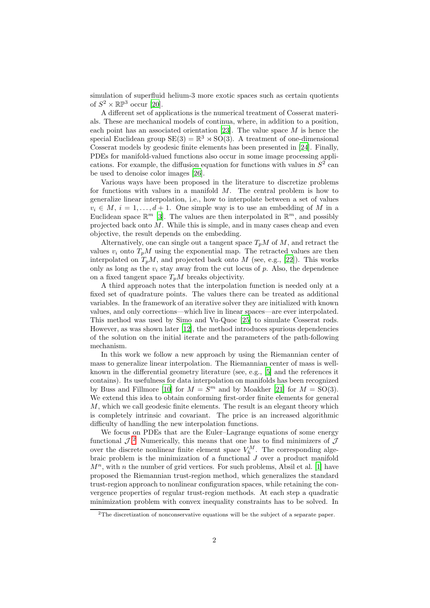simulation of superfluid helium-3 more exotic spaces such as certain quotients of  $S^2 \times \mathbb{RP}^3$  occur [\[20](#page-30-3)].

A different set of applications is the numerical treatment of Cosserat materials. These are mechanical models of continua, where, in addition to a position, each point has an associated orientation [\[23\]](#page-30-4). The value space  $M$  is hence the special Euclidean group  $SE(3) = \mathbb{R}^3 \rtimes SO(3)$ . A treatment of one-dimensional Cosserat models by geodesic finite elements has been presented in [\[24](#page-30-0)]. Finally, PDEs for manifold-valued functions also occur in some image processing applications. For example, the diffusion equation for functions with values in  $S<sup>2</sup>$  can be used to denoise color images [\[26](#page-30-5)].

Various ways have been proposed in the literature to discretize problems for functions with values in a manifold  $M$ . The central problem is how to generalize linear interpolation, i.e., how to interpolate between a set of values  $v_i \in M$ ,  $i = 1, \ldots, d + 1$ . One simple way is to use an embedding of M in a Euclidean space  $\mathbb{R}^m$  [\[3\]](#page-29-0). The values are then interpolated in  $\mathbb{R}^m$ , and possibly projected back onto  $\overline{M}$ . While this is simple, and in many cases cheap and even objective, the result depends on the embedding.

Alternatively, one can single out a tangent space  $T_pM$  of M, and retract the values  $v_i$  onto  $T_pM$  using the exponential map. The retracted values are then interpolated on  $T_pM$ , and projected back onto M (see, e.g., [\[22\]](#page-30-6)). This works only as long as the  $v_i$  stay away from the cut locus of p. Also, the dependence on a fixed tangent space  $T_pM$  breaks objectivity.

A third approach notes that the interpolation function is needed only at a fixed set of quadrature points. The values there can be treated as additional variables. In the framework of an iterative solver they are initialized with known values, and only corrections—which live in linear spaces—are ever interpolated. This method was used by Simo and Vu-Quoc [\[25](#page-30-7)] to simulate Cosserat rods. However, as was shown later [\[12\]](#page-29-1), the method introduces spurious dependencies of the solution on the initial iterate and the parameters of the path-following mechanism.

In this work we follow a new approach by using the Riemannian center of mass to generalize linear interpolation. The Riemannian center of mass is wellknown in the differential geometry literature (see, e.g., [\[5\]](#page-29-2) and the references it contains). Its usefulness for data interpolation on manifolds has been recognized by Buss and Fillmore [\[10](#page-29-3)] for  $M = S^m$  and by Moakher [\[21\]](#page-30-8) for  $M = SO(3)$ . We extend this idea to obtain conforming first-order finite elements for general  $M$ , which we call geodesic finite elements. The result is an elegant theory which is completely intrinsic and covariant. The price is an increased algorithmic difficulty of handling the new interpolation functions.

We focus on PDEs that are the Euler–Lagrange equations of some energy functional  $\mathcal{J}$ . Numerically, this means that one has to find minimizers of  $\mathcal{J}$ over the discrete nonlinear finite element space  $V_h^M$ . The corresponding algebraic problem is the minimization of a functional J over a product manifold  $M<sup>n</sup>$ , with *n* the number of grid vertices. For such problems, Absil et al. [\[1](#page-29-4)] have proposed the Riemannian trust-region method, which generalizes the standard trust-region approach to nonlinear configuration spaces, while retaining the convergence properties of regular trust-region methods. At each step a quadratic minimization problem with convex inequality constraints has to be solved. In

<span id="page-1-0"></span><sup>2</sup>The discretization of nonconservative equations will be the subject of a separate paper.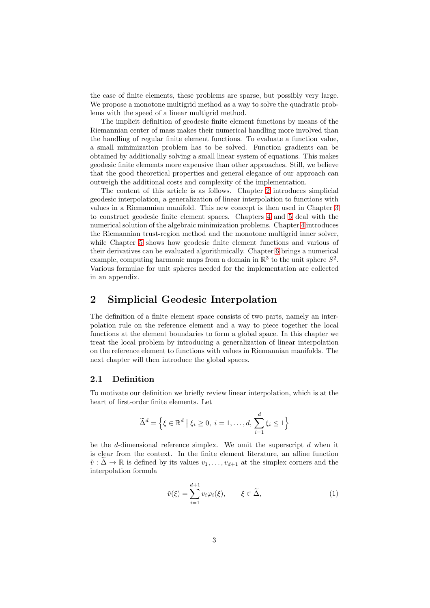the case of finite elements, these problems are sparse, but possibly very large. We propose a monotone multigrid method as a way to solve the quadratic problems with the speed of a linear multigrid method.

The implicit definition of geodesic finite element functions by means of the Riemannian center of mass makes their numerical handling more involved than the handling of regular finite element functions. To evaluate a function value, a small minimization problem has to be solved. Function gradients can be obtained by additionally solving a small linear system of equations. This makes geodesic finite elements more expensive than other approaches. Still, we believe that the good theoretical properties and general elegance of our approach can outweigh the additional costs and complexity of the implementation.

The content of this article is as follows. Chapter [2](#page-2-0) introduces simplicial geodesic interpolation, a generalization of linear interpolation to functions with values in a Riemannian manifold. This new concept is then used in Chapter [3](#page-9-0) to construct geodesic finite element spaces. Chapters [4](#page-13-0) and [5](#page-17-0) deal with the numerical solution of the algebraic minimization problems. Chapter [4](#page-13-0) introduces the Riemannian trust-region method and the monotone multigrid inner solver, while Chapter [5](#page-17-0) shows how geodesic finite element functions and various of their derivatives can be evaluated algorithmically. Chapter [6](#page-22-0) brings a numerical example, computing harmonic maps from a domain in  $\mathbb{R}^3$  to the unit sphere  $S^2$ . Various formulae for unit spheres needed for the implementation are collected in an appendix.

# <span id="page-2-0"></span>2 Simplicial Geodesic Interpolation

The definition of a finite element space consists of two parts, namely an interpolation rule on the reference element and a way to piece together the local functions at the element boundaries to form a global space. In this chapter we treat the local problem by introducing a generalization of linear interpolation on the reference element to functions with values in Riemannian manifolds. The next chapter will then introduce the global spaces.

## 2.1 Definition

To motivate our definition we briefly review linear interpolation, which is at the heart of first-order finite elements. Let

$$
\widetilde{\Delta}^d = \left\{ \xi \in \mathbb{R}^d \mid \xi_i \ge 0, \ i = 1, \dots, d, \sum_{i=1}^d \xi_i \le 1 \right\}
$$

be the d-dimensional reference simplex. We omit the superscript  $d$  when it is clear from the context. In the finite element literature, an affine function  $\tilde{v}: \Delta \to \mathbb{R}$  is defined by its values  $v_1, \ldots, v_{d+1}$  at the simplex corners and the interpolation formula

<span id="page-2-1"></span>
$$
\tilde{v}(\xi) = \sum_{i=1}^{d+1} v_i \varphi_i(\xi), \qquad \xi \in \tilde{\Delta}, \tag{1}
$$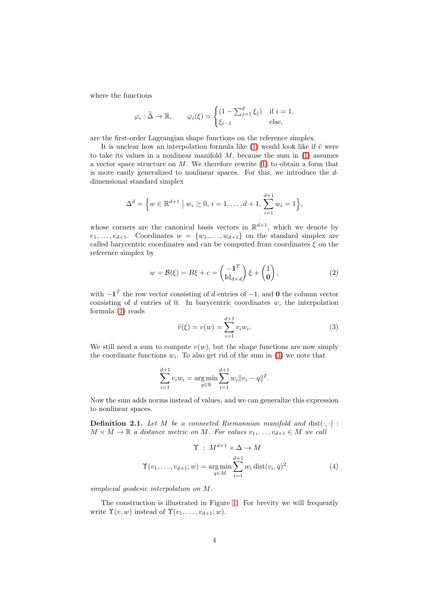where the functions

$$
\varphi_i : \widetilde{\Delta} \to \mathbb{R}, \qquad \varphi_i(\xi) = \begin{cases}\n(1 - \sum_{j=1}^d \xi_j) & \text{if } i = 1, \\
\xi_{i-1} & \text{else,} \n\end{cases}
$$

are the first-order Lagrangian shape functions on the reference simplex.

It is unclear how an interpolation formula like [\(1\)](#page-2-1) would look like if  $\tilde{v}$  were to take its values in a nonlinear manifold  $M$ , because the sum in  $(1)$  assumes a vector space structure on  $M$ . We therefore rewrite [\(1\)](#page-2-1) to obtain a form that is more easily generalized to nonlinear spaces. For this, we introduce the ddimensional standard simplex

$$
\Delta^{d} = \left\{ w \in \mathbb{R}^{d+1} \mid w_i \geq 0, i = 1, ..., d+1, \sum_{i=1}^{d+1} w_i = 1 \right\},\
$$

whose corners are the canonical basis vectors in  $\mathbb{R}^{d+1}$ , which we denote by  $e_1, \ldots, e_{d+1}$ . Coordinates  $w = \{w_1, \ldots, w_{d+1}\}$  on the standard simplex are called barycentric coordinates and can be computed from coordinates  $\xi$  on the reference simplex by

<span id="page-3-3"></span>
$$
w = \mathcal{B}(\xi) = B\xi + c = \begin{pmatrix} -\mathbf{1}^T \\ \mathrm{Id}_{d \times d} \end{pmatrix} \xi + \begin{pmatrix} 1 \\ \mathbf{0} \end{pmatrix},\tag{2}
$$

with  $-\mathbf{1}^T$  the row vector consisting of d entries of  $-1$ , and **0** the column vector consisting of  $d$  entries of 0. In barycentric coordinates  $w$ , the interpolation formula [\(1\)](#page-2-1) reads

<span id="page-3-0"></span>
$$
\tilde{v}(\xi) = v(w) = \sum_{i=1}^{d+1} v_i w_i.
$$
\n(3)

We still need a sum to compute  $v(w)$ , but the shape functions are now simply the coordinate functions  $w_i$ . To also get rid of the sum in [\(3\)](#page-3-0) we note that

$$
\sum_{i=1}^{d+1} v_i w_i = \underset{q \in \mathbb{R}}{\arg \min} \sum_{i=1}^{d+1} w_i \|v_i - q\|^2.
$$

Now the sum adds norms instead of values, and we can generalize this expression to nonlinear spaces.

<span id="page-3-1"></span>**Definition 2.1.** Let M be a connected Riemannian manifold and  $dist(\cdot, \cdot)$ :  $M \times M \to \mathbb{R}$  a distance metric on M. For values  $v_1, \ldots, v_{d+1} \in M$  we call

<span id="page-3-2"></span>
$$
\Upsilon: M^{d+1} \times \Delta \to M
$$
  

$$
\Upsilon(v_1, \dots, v_{d+1}; w) = \underset{q \in M}{\arg \min} \sum_{i=1}^{d+1} w_i \operatorname{dist}(v_i, q)^2
$$
(4)

simplicial geodesic interpolation on M.

The construction is illustrated in Figure [1.](#page-4-0) For brevity we will frequently write  $\Upsilon(v, w)$  instead of  $\Upsilon(v_1, \ldots, v_{d+1}; w)$ .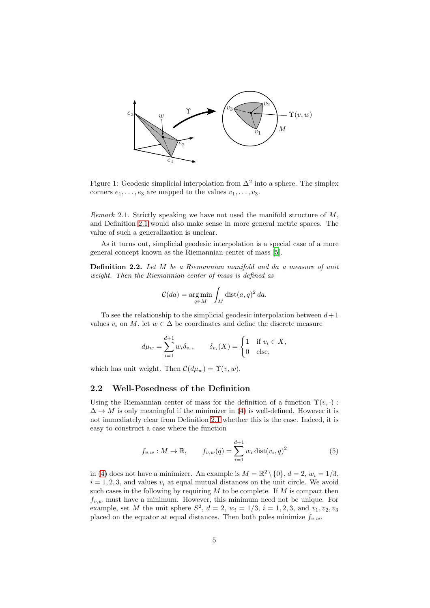

<span id="page-4-0"></span>Figure 1: Geodesic simplicial interpolation from  $\Delta^2$  into a sphere. The simplex corners  $e_1, \ldots, e_3$  are mapped to the values  $v_1, \ldots, v_3$ .

Remark 2.1. Strictly speaking we have not used the manifold structure of  $M$ , and Definition [2.1](#page-3-1) would also make sense in more general metric spaces. The value of such a generalization is unclear.

As it turns out, simplicial geodesic interpolation is a special case of a more general concept known as the Riemannian center of mass [\[5](#page-29-2)].

Definition 2.2. Let M be a Riemannian manifold and da a measure of unit weight. Then the Riemannian center of mass is defined as

$$
\mathcal{C}(da) = \underset{q \in M}{\arg \min} \int_M \text{dist}(a, q)^2 \, da.
$$

To see the relationship to the simplicial geodesic interpolation between  $d+1$ values  $v_i$  on M, let  $w \in \Delta$  be coordinates and define the discrete measure

$$
d\mu_w = \sum_{i=1}^{d+1} w_i \delta_{v_i}, \qquad \delta_{v_i}(X) = \begin{cases} 1 & \text{if } v_i \in X, \\ 0 & \text{else,} \end{cases}
$$

which has unit weight. Then  $\mathcal{C}(d\mu_w) = \Upsilon(v, w)$ .

# 2.2 Well-Posedness of the Definition

Using the Riemannian center of mass for the definition of a function  $\Upsilon(v, \cdot)$ :  $\Delta \rightarrow M$  is only meaningful if the minimizer in [\(4\)](#page-3-2) is well-defined. However it is not immediately clear from Definition [2.1](#page-3-1) whether this is the case. Indeed, it is easy to construct a case where the function

<span id="page-4-1"></span>
$$
f_{v,w}: M \to \mathbb{R}, \qquad f_{v,w}(q) = \sum_{i=1}^{d+1} w_i \operatorname{dist}(v_i, q)^2 \tag{5}
$$

in [\(4\)](#page-3-2) does not have a minimizer. An example is  $M = \mathbb{R}^2 \setminus \{0\}$ ,  $d = 2$ ,  $w_i = 1/3$ ,  $i = 1, 2, 3$ , and values  $v_i$  at equal mutual distances on the unit circle. We avoid such cases in the following by requiring  $M$  to be complete. If  $M$  is compact then  $f_{v,w}$  must have a minimum. However, this minimum need not be unique. For example, set M the unit sphere  $S^2$ ,  $d = 2$ ,  $w_i = 1/3$ ,  $i = 1, 2, 3$ , and  $v_1, v_2, v_3$ placed on the equator at equal distances. Then both poles minimize  $f_{v,w}$ .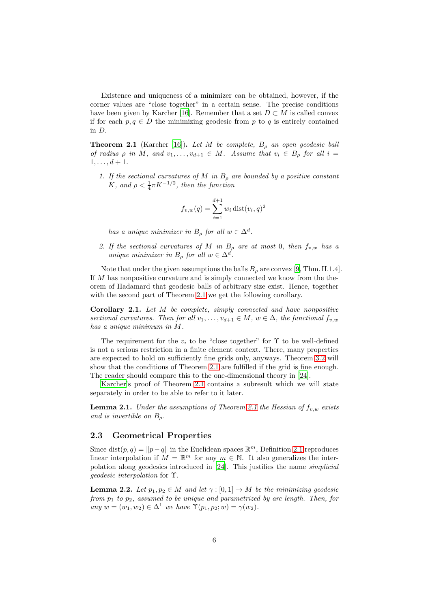Existence and uniqueness of a minimizer can be obtained, however, if the corner values are "close together" in a certain sense. The precise conditions have been given by Karcher [\[16\]](#page-30-9). Remember that a set  $D \subset M$  is called convex if for each  $p, q \in D$  the minimizing geodesic from p to q is entirely contained in D.

<span id="page-5-0"></span>**Theorem 2.1** (Karcher [\[16](#page-30-9)]). Let M be complete,  $B_\rho$  an open geodesic ball of radius  $\rho$  in M, and  $v_1, \ldots, v_{d+1} \in M$ . Assume that  $v_i \in B_\rho$  for all  $i =$  $1, \ldots, d+1$ .

1. If the sectional curvatures of M in  $B_{\rho}$  are bounded by a positive constant K, and  $\rho < \frac{1}{4} \pi K^{-1/2}$ , then the function

$$
f_{v,w}(q) = \sum_{i=1}^{d+1} w_i \text{ dist}(v_i, q)^2
$$

has a unique minimizer in  $B_\rho$  for all  $w \in \Delta^d$ .

2. If the sectional curvatures of M in  $B_{\rho}$  are at most 0, then  $f_{v,w}$  has a unique minimizer in  $B_\rho$  for all  $w \in \Delta^d$ .

Note that under the given assumptions the balls  $B<sub>o</sub>$  are convex [\[9](#page-29-5), Thm. II.1.4]. If M has nonpositive curvature and is simply connected we know from the theorem of Hadamard that geodesic balls of arbitrary size exist. Hence, together with the second part of Theorem [2.1](#page-5-0) we get the following corollary.

<span id="page-5-3"></span>Corollary 2.1. Let M be complete, simply connected and have nonpositive sectional curvatures. Then for all  $v_1, \ldots, v_{d+1} \in M$ ,  $w \in \Delta$ , the functional  $f_{v,w}$ has a unique minimum in M.

The requirement for the  $v_i$  to be "close together" for  $\Upsilon$  to be well-defined is not a serious restriction in a finite element context. There, many properties are expected to hold on sufficiently fine grids only, anyways. Theorem [3.2](#page-11-0) will show that the conditions of Theorem [2.1](#page-5-0) are fulfilled if the grid is fine enough. The reader should compare this to the one-dimensional theory in [\[24\]](#page-30-0).

[Karcher'](#page-30-9)s proof of Theorem [2.1](#page-5-0) contains a subresult which we will state separately in order to be able to refer to it later.

<span id="page-5-2"></span>**Lemma [2.1](#page-5-0).** Under the assumptions of Theorem 2.1 the Hessian of  $f_{v,w}$  exists and is invertible on  $B_{\rho}$ .

#### 2.3 Geometrical Properties

Since dist $(p, q) = ||p - q||$  in the Euclidean spaces  $\mathbb{R}^m$ , Definition [2.1](#page-3-1) reproduces linear interpolation if  $M = \mathbb{R}^m$  for any  $m \in \mathbb{N}$ . It also generalizes the interpolation along geodesics introduced in [\[24\]](#page-30-0). This justifies the name simplicial geodesic interpolation for Υ.

<span id="page-5-1"></span>**Lemma 2.2.** Let  $p_1, p_2 \in M$  and let  $\gamma : [0, 1] \to M$  be the minimizing geodesic from  $p_1$  to  $p_2$ , assumed to be unique and parametrized by arc length. Then, for any  $w = (w_1, w_2) \in \Delta^1$  we have  $\Upsilon(p_1, p_2; w) = \gamma(w_2)$ .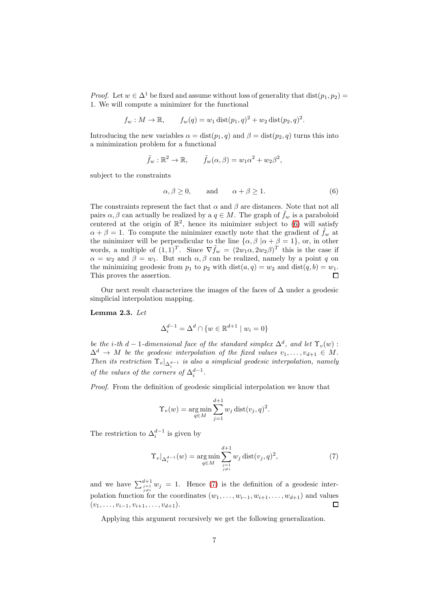*Proof.* Let  $w \in \Delta^1$  be fixed and assume without loss of generality that  $dist(p_1, p_2)$ 1. We will compute a minimizer for the functional

$$
f_w: M \to \mathbb{R}
$$
,  $f_w(q) = w_1 \text{dist}(p_1, q)^2 + w_2 \text{dist}(p_2, q)^2$ .

Introducing the new variables  $\alpha = \text{dist}(p_1, q)$  and  $\beta = \text{dist}(p_2, q)$  turns this into a minimization problem for a functional

$$
\tilde{f}_w : \mathbb{R}^2 \to \mathbb{R}, \qquad \tilde{f}_w(\alpha, \beta) = w_1 \alpha^2 + w_2 \beta^2,
$$

subject to the constraints

<span id="page-6-0"></span>
$$
\alpha, \beta \ge 0, \qquad \text{and} \qquad \alpha + \beta \ge 1. \tag{6}
$$

The constraints represent the fact that  $\alpha$  and  $\beta$  are distances. Note that not all pairs  $\alpha, \beta$  can actually be realized by a  $q \in M$ . The graph of  $\tilde{f}_w$  is a paraboloid centered at the origin of  $\mathbb{R}^2$ , hence its minimizer subject to [\(6\)](#page-6-0) will satisfy  $\alpha + \beta = 1$ . To compute the minimizer exactly note that the gradient of  $f_w$  at the minimizer will be perpendicular to the line  $\{\alpha, \beta \mid \alpha + \beta = 1\}$ , or, in other words, a multiple of  $(1,1)^T$ . Since  $\nabla \tilde{f}_w = (2w_1\alpha, 2w_2\beta)^T$  this is the case if  $\alpha = w_2$  and  $\beta = w_1$ . But such  $\alpha, \beta$  can be realized, namely by a point q on the minimizing geodesic from  $p_1$  to  $p_2$  with  $dist(a, q) = w_2$  and  $dist(q, b) = w_1$ . This proves the assertion.  $\Box$ 

Our next result characterizes the images of the faces of  $\Delta$  under a geodesic simplicial interpolation mapping.

#### <span id="page-6-2"></span>Lemma 2.3. Let

$$
\Delta_i^{d-1} = \Delta^d \cap \{w \in \mathbb{R}^{d+1} \mid w_i = 0\}
$$

be the i-th d – 1-dimensional face of the standard simplex  $\Delta^d$ , and let  $\Upsilon_v(w)$ :  $\Delta^d \to M$  be the geodesic interpolation of the fixed values  $v_1, \ldots, v_{d+1} \in M$ . Then its restriction  $\Upsilon_v|_{\Delta_i^{d-1}}$  is also a simplicial geodesic interpolation, namely of the values of the corners of  $\Delta_i^{d-1}$ .

Proof. From the definition of geodesic simplicial interpolation we know that

$$
\Upsilon_v(w) = \underset{q \in M}{\text{arg min}} \sum_{j=1}^{d+1} w_j \operatorname{dist}(v_j, q)^2.
$$

The restriction to  $\Delta_i^{d-1}$  is given by

<span id="page-6-1"></span>
$$
\Upsilon_v|_{\Delta_i^{d-1}}(w) = \underset{q \in M}{\text{arg min}} \sum_{\substack{j=1 \ j \neq i}}^{d+1} w_j \operatorname{dist}(v_j, q)^2, \tag{7}
$$

and we have  $\sum_{\substack{j=1 \ j \neq i}}^{d+1} w_j = 1$ . Hence [\(7\)](#page-6-1) is the definition of a geodesic interpolation function for the coordinates  $(w_1, \ldots, w_{i-1}, w_{i+1}, \ldots, w_{d+1})$  and values  $(v_1, \ldots, v_{i-1}, v_{i+1}, \ldots, v_{d+1}).$  $\Box$ 

Applying this argument recursively we get the following generalization.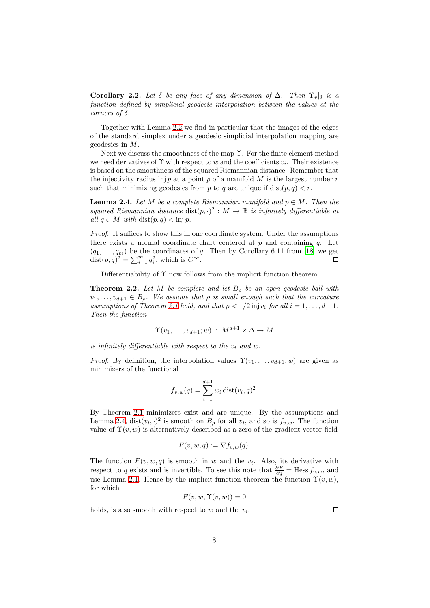**Corollary 2.2.** Let  $\delta$  be any face of any dimension of  $\Delta$ . Then  $\Upsilon_v|_{\delta}$  is a function defined by simplicial geodesic interpolation between the values at the corners of  $\delta$ .

Together with Lemma [2.2](#page-5-1) we find in particular that the images of the edges of the standard simplex under a geodesic simplicial interpolation mapping are geodesics in M.

Next we discuss the smoothness of the map Υ. For the finite element method we need derivatives of  $\Upsilon$  with respect to w and the coefficients  $v_i$ . Their existence is based on the smoothness of the squared Riemannian distance. Remember that the injectivity radius inj p at a point p of a manifold  $M$  is the largest number  $r$ such that minimizing geodesics from p to q are unique if  $dist(p, q) < r$ .

<span id="page-7-0"></span>**Lemma 2.4.** Let M be a complete Riemannian manifold and  $p \in M$ . Then the squared Riemannian distance  $dist(p, \cdot)^2 : M \to \mathbb{R}$  is infinitely differentiable at all  $q \in M$  with  $dist(p, q) < inj p$ .

Proof. It suffices to show this in one coordinate system. Under the assumptions there exists a normal coordinate chart centered at  $p$  and containing  $q$ . Let  $(q_1, \ldots, q_m)$  be the coordinates of q. Then by Corollary 6.11 from [\[18\]](#page-30-10) we get  $dist(p, q)^2 = \sum_{i=1}^m q_i^2$ , which is  $C^{\infty}$ .

Differentiability of  $\Upsilon$  now follows from the implicit function theorem.

<span id="page-7-1"></span>**Theorem 2.2.** Let M be complete and let  $B_{\rho}$  be an open geodesic ball with  $v_1, \ldots, v_{d+1} \in B_o$ . We assume that  $\rho$  is small enough such that the curvature assumptions of Theorem [2.1](#page-5-0) hold, and that  $\rho < 1/2$  injv<sub>i</sub> for all  $i = 1, \ldots, d+1$ . Then the function

$$
\Upsilon(v_1,\ldots,v_{d+1};w) \; : \; M^{d+1} \times \Delta \to M
$$

is infinitely differentiable with respect to the  $v_i$  and w.

*Proof.* By definition, the interpolation values  $\Upsilon(v_1, \ldots, v_{d+1}; w)$  are given as minimizers of the functional

$$
f_{v,w}(q) = \sum_{i=1}^{d+1} w_i \text{ dist}(v_i, q)^2.
$$

By Theorem [2.1](#page-5-0) minimizers exist and are unique. By the assumptions and Lemma [2.4,](#page-7-0)  $dist(v_i, \cdot)^2$  is smooth on  $B_\rho$  for all  $v_i$ , and so is  $f_{v,w}$ . The function value of  $\Upsilon(v, w)$  is alternatively described as a zero of the gradient vector field

$$
F(v, w, q) := \nabla f_{v,w}(q).
$$

The function  $F(v, w, q)$  is smooth in w and the  $v_i$ . Also, its derivative with respect to q exists and is invertible. To see this note that  $\frac{\partial F}{\partial q}$  = Hess  $f_{v,w}$ , and use Lemma [2.1.](#page-5-2) Hence by the implicit function theorem the function  $\Upsilon(v, w)$ , for which

$$
F(v, w, \Upsilon(v, w)) = 0
$$

holds, is also smooth with respect to  $w$  and the  $v_i$ .

 $\Box$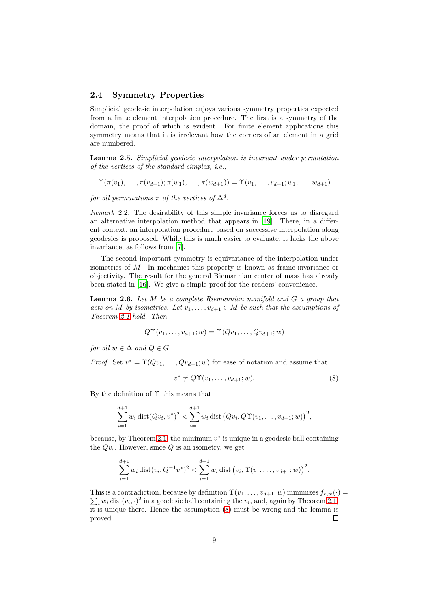#### 2.4 Symmetry Properties

Simplicial geodesic interpolation enjoys various symmetry properties expected from a finite element interpolation procedure. The first is a symmetry of the domain, the proof of which is evident. For finite element applications this symmetry means that it is irrelevant how the corners of an element in a grid are numbered.

Lemma 2.5. Simplicial geodesic interpolation is invariant under permutation of the vertices of the standard simplex, i.e.,

$$
\Upsilon(\pi(v_1),\ldots,\pi(v_{d+1});\pi(w_1),\ldots,\pi(w_{d+1})) = \Upsilon(v_1,\ldots,v_{d+1};w_1,\ldots,w_{d+1})
$$

for all permutations  $\pi$  of the vertices of  $\Delta^d$ .

Remark 2.2. The desirability of this simple invariance forces us to disregard an alternative interpolation method that appears in [\[19\]](#page-30-11). There, in a different context, an interpolation procedure based on successive interpolation along geodesics is proposed. While this is much easier to evaluate, it lacks the above invariance, as follows from [\[7\]](#page-29-6).

The second important symmetry is equivariance of the interpolation under isometries of M. In mechanics this property is known as frame-invariance or objectivity. The result for the general Riemannian center of mass has already been stated in [\[16\]](#page-30-9). We give a simple proof for the readers' convenience.

<span id="page-8-1"></span>**Lemma 2.6.** Let  $M$  be a complete Riemannian manifold and  $G$  a group that acts on M by isometries. Let  $v_1, \ldots, v_{d+1} \in M$  be such that the assumptions of Theorem [2.1](#page-5-0) hold. Then

$$
Q\Upsilon(v_1,\ldots,v_{d+1};w)=\Upsilon(Qv_1,\ldots,Qv_{d+1};w)
$$

for all  $w \in \Delta$  and  $Q \in G$ .

*Proof.* Set  $v^* = \Upsilon(Qv_1, \ldots, Qv_{d+1}; w)$  for ease of notation and assume that

<span id="page-8-0"></span>
$$
v^* \neq Q\Upsilon(v_1,\ldots,v_{d+1};w). \tag{8}
$$

By the definition of  $\Upsilon$  this means that

$$
\sum_{i=1}^{d+1} w_i \operatorname{dist}(Qv_i, v^*)^2 < \sum_{i=1}^{d+1} w_i \operatorname{dist}(Qv_i, Q\Upsilon(v_1, \dots, v_{d+1}; w))^2,
$$

because, by Theorem [2.1,](#page-5-0) the minimum  $v^*$  is unique in a geodesic ball containing the  $Qv_i$ . However, since  $Q$  is an isometry, we get

$$
\sum_{i=1}^{d+1} w_i \operatorname{dist}(v_i, Q^{-1}v^*)^2 < \sum_{i=1}^{d+1} w_i \operatorname{dist}(v_i, \Upsilon(v_1, \ldots, v_{d+1}; w))^2.
$$

This is a contradiction, because by definition  $\Upsilon(v_1,\ldots,v_{d+1};w)$  minimizes  $f_{v,w}(\cdot)$  =  $\sum_i w_i \text{ dist}(v_i, \cdot)^2$  in a geodesic ball containing the  $v_i$ , and, again by Theorem [2.1,](#page-5-0) it is unique there. Hence the assumption  $(8)$  must be wrong and the lemma is proved.  $\Box$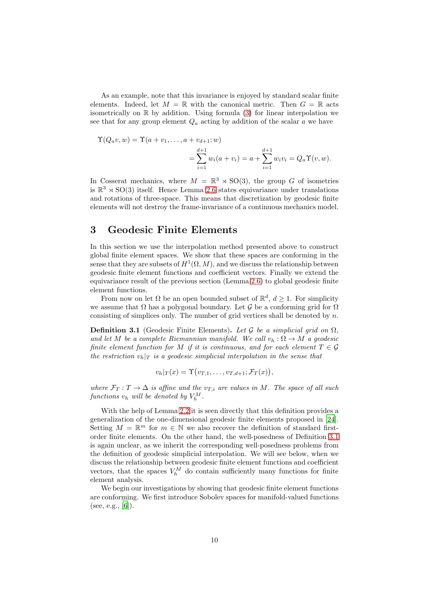As an example, note that this invariance is enjoyed by standard scalar finite elements. Indeed, let  $M = \mathbb{R}$  with the canonical metric. Then  $G = \mathbb{R}$  acts isometrically on  $\mathbb R$  by addition. Using formula [\(3\)](#page-3-0) for linear interpolation we see that for any group element  $Q_a$  acting by addition of the scalar  $a$  we have

$$
\begin{aligned} \Upsilon(Q_a v, w) &= \Upsilon(a + v_1, \dots, a + v_{d+1}; w) \\ &= \sum_{i=1}^{d+1} w_i(a + v_i) = a + \sum_{i=1}^{d+1} w_i v_i = Q_a \Upsilon(v, w). \end{aligned}
$$

In Cosserat mechanics, where  $M = \mathbb{R}^3 \rtimes SO(3)$ , the group G of isometries is  $\mathbb{R}^3 \rtimes SO(3)$  itself. Hence Lemma [2.6](#page-8-1) states equivariance under translations and rotations of three-space. This means that discretization by geodesic finite elements will not destroy the frame-invariance of a continuous mechanics model.

# <span id="page-9-0"></span>3 Geodesic Finite Elements

In this section we use the interpolation method presented above to construct global finite element spaces. We show that these spaces are conforming in the sense that they are subsets of  $H^1(\Omega, M)$ , and we discuss the relationship between geodesic finite element functions and coefficient vectors. Finally we extend the equivariance result of the previous section (Lemma [2.6\)](#page-8-1) to global geodesic finite element functions.

From now on let  $\Omega$  be an open bounded subset of  $\mathbb{R}^d$ ,  $d \geq 1$ . For simplicity we assume that  $\Omega$  has a polygonal boundary. Let G be a conforming grid for  $\Omega$ consisting of simplices only. The number of grid vertices shall be denoted by  $n$ .

<span id="page-9-1"></span>**Definition 3.1** (Geodesic Finite Elements). Let G be a simplicial grid on  $\Omega$ . and let M be a complete Riemannian manifold. We call  $v_h : \Omega \to M$  a geodesic finite element function for M if it is continuous, and for each element  $T \in \mathcal{G}$ the restriction  $v_h|_T$  is a geodesic simplicial interpolation in the sense that

$$
v_h|_T(x) = \Upsilon(v_{T,1},\ldots,v_{T,d+1};\mathcal{F}_T(x)),
$$

where  $\mathcal{F}_T : T \to \Delta$  is affine and the  $v_{T,i}$  are values in M. The space of all such functions  $v_h$  will be denoted by  $V_h^M$ .

With the help of Lemma [2.2](#page-5-1) it is seen directly that this definition provides a generalization of the one-dimensional geodesic finite elements proposed in [\[24\]](#page-30-0). Setting  $M = \mathbb{R}^m$  for  $m \in \mathbb{N}$  we also recover the definition of standard firstorder finite elements. On the other hand, the well-posedness of Definition [3.1](#page-9-1) is again unclear, as we inherit the corresponding well-posedness problems from the definition of geodesic simplicial interpolation. We will see below, when we discuss the relationship between geodesic finite element functions and coefficient vectors, that the spaces  $V_h^M$  do contain sufficiently many functions for finite element analysis.

We begin our investigations by showing that geodesic finite element functions are conforming. We first introduce Sobolev spaces for manifold-valued functions (see, e.g.,  $[6]$ ).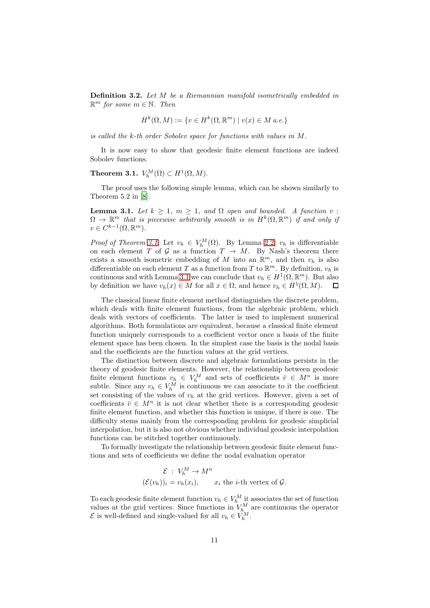Definition 3.2. Let M be a Riemannian manifold isometrically embedded in  $\mathbb{R}^m$  for some  $m \in \mathbb{N}$ . Then

$$
H^k(\Omega, M) := \{ v \in H^k(\Omega, \mathbb{R}^m) \mid v(x) \in M \text{ a.e.} \}
$$

is called the k-th order Sobolev space for functions with values in M.

It is now easy to show that geodesic finite element functions are indeed Sobolev functions.

<span id="page-10-0"></span>**Theorem 3.1.**  $V_h^M(\Omega) \subset H^1(\Omega, M)$ .

The proof uses the following simple lemma, which can be shown similarly to Theorem 5.2 in [\[8](#page-29-8)].

<span id="page-10-1"></span>**Lemma 3.1.** Let  $k \geq 1$ ,  $m \geq 1$ , and  $\Omega$  open and bounded. A function v:  $\Omega \to \mathbb{R}^m$  that is piecewise arbitrarily smooth is in  $H^k(\Omega, \mathbb{R}^m)$  if and only if  $v \in C^{k-1}(\Omega, \mathbb{R}^m).$ 

*Proof of Theorem [3.1.](#page-10-0)* Let  $v_h \in V_h^M(\Omega)$ . By Lemma [2.2,](#page-7-1)  $v_h$  is differentiable on each element T of G as a function  $T \to M$ . By Nash's theorem there exists a smooth isometric embedding of M into an  $\mathbb{R}^m$ , and then  $v_h$  is also differentiable on each element T as a function from T to  $\mathbb{R}^m$ . By definition,  $v_h$  is continuous and with Lemma [3.1](#page-10-1) we can conclude that  $v_h \in H^1(\Omega, \mathbb{R}^m)$ . But also by definition we have  $v_h(x) \in M$  for all  $x \in \Omega$ , and hence  $v_h \in H^1(\Omega, M)$ .  $\Box$ 

The classical linear finite element method distinguishes the discrete problem, which deals with finite element functions, from the algebraic problem, which deals with vectors of coefficients. The latter is used to implement numerical algorithms. Both formulations are equivalent, because a classical finite element function uniquely corresponds to a coefficient vector once a basis of the finite element space has been chosen. In the simplest case the basis is the nodal basis and the coefficients are the function values at the grid vertices.

The distinction between discrete and algebraic formulations persists in the theory of geodesic finite elements. However, the relationship between geodesic finite element functions  $v_h \in V_h^M$  and sets of coefficients  $\bar{v} \in M^n$  is more subtle. Since any  $v_h \in V_h^M$  is continuous we can associate to it the coefficient set consisting of the values of  $v_h$  at the grid vertices. However, given a set of coefficients  $\bar{v} \in M^n$  it is not clear whether there is a corresponding geodesic finite element function, and whether this function is unique, if there is one. The difficulty stems mainly from the corresponding problem for geodesic simplicial interpolation, but it is also not obvious whether individual geodesic interpolation functions can be stitched together continuously.

To formally investigate the relationship between geodesic finite element functions and sets of coefficients we define the nodal evaluation operator

$$
\mathcal{E} : V_h^M \to M^n
$$
  

$$
(\mathcal{E}(v_h))_i = v_h(x_i), \qquad x_i \text{ the } i\text{-th vertex of } \mathcal{G}.
$$

To each geodesic finite element function  $v_h \in V_h^M$  it associates the set of function values at the grid vertices. Since functions in  $V_{h}^{M}$  are continuous the operator  $\mathcal{E}$  is well-defined and single-valued for all  $v_h \in V_h^M$ .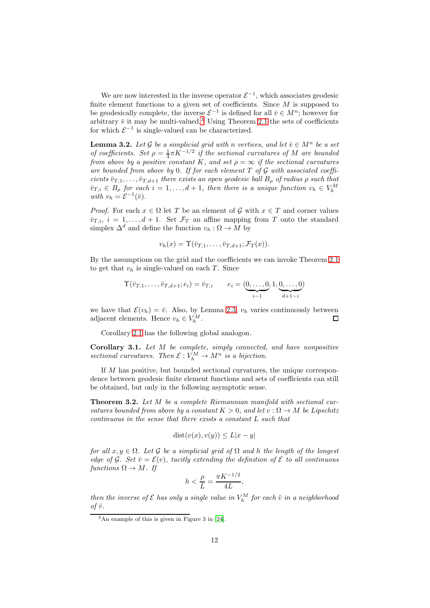We are now interested in the inverse operator  $\mathcal{E}^{-1}$ , which associates geodesic finite element functions to a given set of coefficients. Since  $M$  is supposed to be geodesically complete, the inverse  $\mathcal{E}^{-1}$  is defined for all  $\bar{v} \in M^n$ ; however for arbitrary  $\bar{v}$  it may be multi-valued.<sup>[3](#page-11-1)</sup> Using Theorem [2.1](#page-5-0) the sets of coefficients for which  $\mathcal{E}^{-1}$  is single-valued can be characterized.

<span id="page-11-2"></span>**Lemma 3.2.** Let G be a simplicial grid with n vertices, and let  $\bar{v} \in M^n$  be a set of coefficients. Set  $\rho = \frac{1}{4} \pi K^{-1/2}$  if the sectional curvatures of M are bounded from above by a positive constant K, and set  $\rho = \infty$  if the sectional curvatures are bounded from above by 0. If for each element  $T$  of  $\mathcal G$  with associated coefficients  $\bar{v}_{T,1}, \ldots, \bar{v}_{T,d+1}$  there exists an open geodesic ball  $B_{\rho}$  of radius  $\rho$  such that  $\bar{v}_{T,i} \in B_{\rho}$  for each  $i = 1, \ldots, d + 1$ , then there is a unique function  $v_h \in V_h^M$ with  $v_h = \mathcal{E}^{-1}(\bar{v}).$ 

*Proof.* For each  $x \in \Omega$  let T be an element of G with  $x \in T$  and corner values  $\overline{v}_{T,i}, i = 1, \ldots, d+1$ . Set  $\mathcal{F}_T$  an affine mapping from T onto the standard simplex  $\Delta^d$  and define the function  $v_h : \Omega \to M$  by

$$
v_h(x) = \Upsilon(\overline{v}_{T,1},\ldots,\overline{v}_{T,d+1};\mathcal{F}_T(x)).
$$

By the assumptions on the grid and the coefficients we can invoke Theorem [2.1](#page-5-0) to get that  $v_h$  is single-valued on each T. Since

$$
\Upsilon(\bar{v}_{T,1},\ldots,\bar{v}_{T,d+1};e_i) = \bar{v}_{T,i}
$$
  $e_i = (\underbrace{0,\ldots,0}_{i-1},1,\underbrace{0,\ldots,0}_{d+1-i})$ 

we have that  $\mathcal{E}(v_h) = \bar{v}$ . Also, by Lemma [2.3,](#page-6-2)  $v_h$  varies continuously between adjacent elements. Hence  $v_h \in V^M$ adjacent elements. Hence  $v_h \in V_h^M$ .

Corollary [2.1](#page-5-3) has the following global analogon.

Corollary 3.1. Let M be complete, simply connected, and have nonpositive sectional curvatures. Then  $\mathcal{E}: V_h^M \to M^n$  is a bijection.

If M has positive, but bounded sectional curvatures, the unique correspondence between geodesic finite element functions and sets of coefficients can still be obtained, but only in the following asymptotic sense.

<span id="page-11-0"></span>Theorem 3.2. Let M be a complete Riemannian manifold with sectional curvatures bounded from above by a constant  $K > 0$ , and let  $v : \Omega \to M$  be Lipschitz continuous in the sense that there exists a constant L such that

$$
dist(v(x), v(y)) \le L|x - y|
$$

for all  $x, y \in \Omega$ . Let G be a simplicial grid of  $\Omega$  and h the length of the longest edge of G. Set  $\bar{v} = \mathcal{E}(v)$ , tacitly extending the definition of E to all continuous functions  $\Omega \to M$ . If

$$
h < \frac{\rho}{L} = \frac{\pi K^{-1/2}}{4L},
$$

then the inverse of  $\mathcal E$  has only a single value in  $V_h^M$  for each  $\tilde v$  in a neighborhood of  $\bar{v}$ .

<span id="page-11-1"></span><sup>3</sup>An example of this is given in Figure 3 in [\[24](#page-30-0)].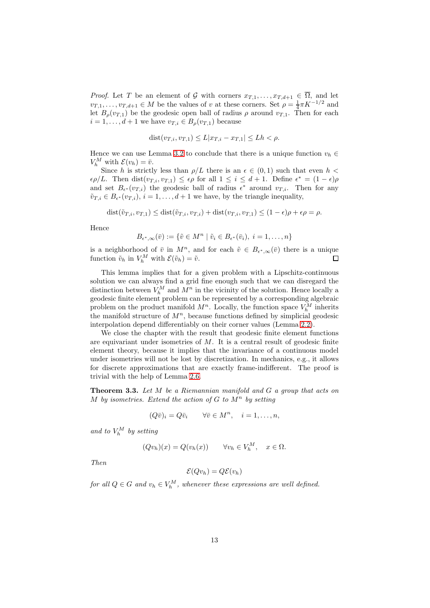*Proof.* Let T be an element of G with corners  $x_{T,1}, \ldots, x_{T,d+1} \in \overline{\Omega}$ , and let  $v_{T,1}, \ldots, v_{T,d+1} \in M$  be the values of v at these corners. Set  $\rho = \frac{1}{4} \pi K^{-1/2}$  and let  $B_{\rho}(v_{T,1})$  be the geodesic open ball of radius  $\rho$  around  $v_{T,1}$ . Then for each  $i = 1, \ldots, d+1$  we have  $v_{T,i} \in B_{\rho}(v_{T,1})$  because

$$
dist(v_{T,i}, v_{T,1}) \leq L|x_{T,i} - x_{T,1}| \leq Lh < \rho.
$$

Hence we can use Lemma [3.2](#page-11-2) to conclude that there is a unique function  $v_h \in$  $V_h^M$  with  $\mathcal{E}(v_h) = \bar{v}$ .

Since h is strictly less than  $\rho/L$  there is an  $\epsilon \in (0,1)$  such that even  $h <$  $\epsilon \rho/L$ . Then dist $(v_{T,i}, v_{T,1}) \leq \epsilon \rho$  for all  $1 \leq i \leq d+1$ . Define  $\epsilon^* = (1 - \epsilon) \rho$ and set  $B_{\epsilon^*}(v_{T,i})$  the geodesic ball of radius  $\epsilon^*$  around  $v_{T,i}$ . Then for any  $\tilde{v}_{T,i} \in B_{\epsilon^*}(v_{T,i}), i = 1, \ldots, d+1$  we have, by the triangle inequality,

 $dist(\tilde{v}_{T,i}, v_{T,1}) \leq dist(\tilde{v}_{T,i}, v_{T,i}) + dist(v_{T,i}, v_{T,1}) \leq (1 - \epsilon)\rho + \epsilon \rho = \rho.$ 

Hence

$$
B_{\epsilon^*,\infty}(\bar{v}) := \{ \tilde{v} \in M^n \mid \tilde{v}_i \in B_{\epsilon^*}(\bar{v}_i), \ i = 1,\ldots,n \}
$$

is a neighborhood of  $\overline{v}$  in  $M^n$ , and for each  $\tilde{v} \in B_{\epsilon^*,\infty}(\overline{v})$  there is a unique function  $\tilde{v}_h$  in  $V_h^M$  with  $\mathcal{E}(\tilde{v}_h) = \tilde{v}$ . П

This lemma implies that for a given problem with a Lipschitz-continuous solution we can always find a grid fine enough such that we can disregard the distinction between  $V_h^M$  and  $M^n$  in the vicinity of the solution. Hence locally a geodesic finite element problem can be represented by a corresponding algebraic problem on the product manifold  $M^n$ . Locally, the function space  $V_h^M$  inherits the manifold structure of  $M<sup>n</sup>$ , because functions defined by simplicial geodesic interpolation depend differentiably on their corner values (Lemma [2.2\)](#page-7-1).

We close the chapter with the result that geodesic finite element functions are equivariant under isometries of  $M$ . It is a central result of geodesic finite element theory, because it implies that the invariance of a continuous model under isometries will not be lost by discretization. In mechanics, e.g., it allows for discrete approximations that are exactly frame-indifferent. The proof is trivial with the help of Lemma [2.6.](#page-8-1)

**Theorem 3.3.** Let  $M$  be a Riemannian manifold and  $G$  a group that acts on M by isometries. Extend the action of  $G$  to  $M^n$  by setting

$$
(Q\bar{v})_i = Q\bar{v}_i \qquad \forall \bar{v} \in M^n, \quad i = 1, \dots, n,
$$

and to  $V_h^M$  by setting

$$
(Qv_h)(x) = Q(v_h(x)) \qquad \forall v_h \in V_h^M, \quad x \in \Omega.
$$

Then

$$
\mathcal{E}(Qv_h)=Q\mathcal{E}(v_h)
$$

for all  $Q \in G$  and  $v_h \in V_h^M$ , whenever these expressions are well defined.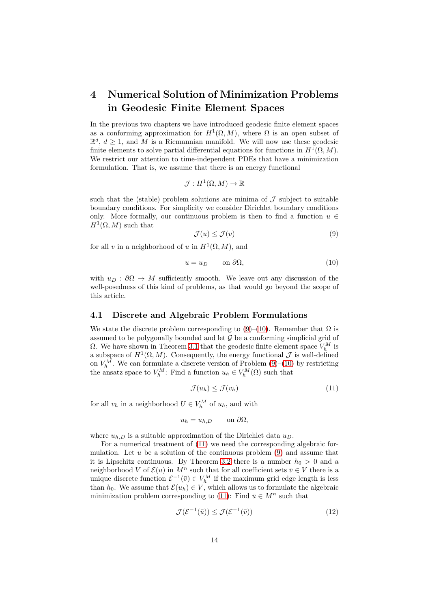# <span id="page-13-0"></span>4 Numerical Solution of Minimization Problems in Geodesic Finite Element Spaces

In the previous two chapters we have introduced geodesic finite element spaces as a conforming approximation for  $H^1(\Omega, M)$ , where  $\Omega$  is an open subset of  $\mathbb{R}^d$ ,  $d \geq 1$ , and M is a Riemannian manifold. We will now use these geodesic finite elements to solve partial differential equations for functions in  $H^1(\Omega, M)$ . We restrict our attention to time-independent PDEs that have a minimization formulation. That is, we assume that there is an energy functional

$$
\mathcal{J}:H^1(\Omega,M)\to\mathbb{R}
$$

such that the (stable) problem solutions are minima of  $\mathcal J$  subject to suitable boundary conditions. For simplicity we consider Dirichlet boundary conditions only. More formally, our continuous problem is then to find a function  $u \in$  $H^1(\Omega,M)$  such that

<span id="page-13-1"></span>
$$
\mathcal{J}(u) \le \mathcal{J}(v) \tag{9}
$$

for all v in a neighborhood of u in  $H^1(\Omega, M)$ , and

<span id="page-13-2"></span>
$$
u = u_D \qquad \text{on } \partial\Omega,\tag{10}
$$

with  $u_D : \partial \Omega \to M$  sufficiently smooth. We leave out any discussion of the well-posedness of this kind of problems, as that would go beyond the scope of this article.

#### 4.1 Discrete and Algebraic Problem Formulations

We state the discrete problem corresponding to [\(9\)](#page-13-1)–[\(10\)](#page-13-2). Remember that  $\Omega$  is assumed to be polygonally bounded and let  $\mathcal G$  be a conforming simplicial grid of  $\Omega$ . We have shown in Theorem [3.1](#page-10-0) that the geodesic finite element space  $V_h^M$  is a subspace of  $H^1(\Omega, M)$ . Consequently, the energy functional  $\mathcal J$  is well-defined on  $V_h^M$ . We can formulate a discrete version of Problem [\(9\)](#page-13-1)–[\(10\)](#page-13-2) by restricting the ansatz space to  $V_h^M$ : Find a function  $u_h \in V_h^M(\Omega)$  such that

<span id="page-13-3"></span>
$$
\mathcal{J}(u_h) \le \mathcal{J}(v_h) \tag{11}
$$

for all  $v_h$  in a neighborhood  $U \in V_h^M$  of  $u_h$ , and with

$$
u_h = u_{h,D} \qquad \text{on } \partial \Omega,
$$

where  $u_{h,D}$  is a suitable approximation of the Dirichlet data  $u_D$ .

For a numerical treatment of [\(11\)](#page-13-3) we need the corresponding algebraic formulation. Let  $u$  be a solution of the continuous problem  $(9)$  and assume that it is Lipschitz continuous. By Theorem [3.2](#page-11-0) there is a number  $h_0 > 0$  and a neighborhood V of  $\mathcal{E}(u)$  in  $M^n$  such that for all coefficient sets  $\bar{v} \in V$  there is a unique discrete function  $\mathcal{E}^{-1}(\bar{v}) \in V_h^M$  if the maximum grid edge length is less than  $h_0$ . We assume that  $\mathcal{E}(u_h) \in V$ , which allows us to formulate the algebraic minimization problem corresponding to [\(11\)](#page-13-3): Find  $\bar{u} \in M^n$  such that

<span id="page-13-4"></span>
$$
\mathcal{J}(\mathcal{E}^{-1}(\bar{u})) \le \mathcal{J}(\mathcal{E}^{-1}(\bar{v}))\tag{12}
$$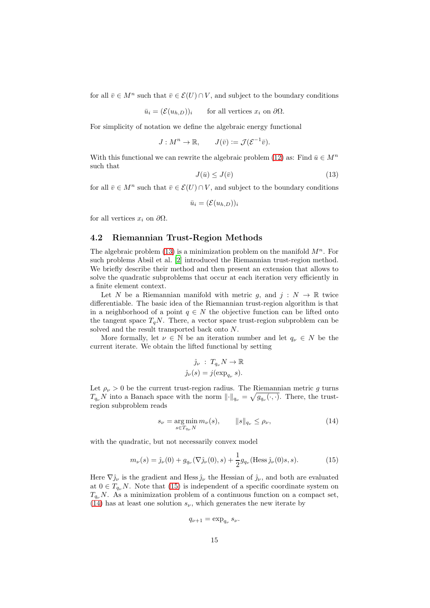for all  $\bar{v} \in M^n$  such that  $\bar{v} \in \mathcal{E}(U) \cap V$ , and subject to the boundary conditions

$$
\bar{u}_i = (\mathcal{E}(u_{h,D}))_i \quad \text{for all vertices } x_i \text{ on } \partial\Omega.
$$

For simplicity of notation we define the algebraic energy functional

$$
J: M^n \to \mathbb{R}, \qquad J(\bar{v}) := \mathcal{J}(\mathcal{E}^{-1}\bar{v}).
$$

With this functional we can rewrite the algebraic problem [\(12\)](#page-13-4) as: Find  $\bar{u} \in M^n$ such that

<span id="page-14-0"></span>
$$
J(\bar{u}) \le J(\bar{v})\tag{13}
$$

for all  $\bar{v} \in M^n$  such that  $\bar{v} \in \mathcal{E}(U) \cap V$ , and subject to the boundary conditions

$$
\bar{u}_i = (\mathcal{E}(u_{h,D}))_i
$$

for all vertices  $x_i$  on  $\partial\Omega$ .

### <span id="page-14-3"></span>4.2 Riemannian Trust-Region Methods

The algebraic problem [\(13\)](#page-14-0) is a minimization problem on the manifold  $M^n$ . For such problems Absil et al. [\[2](#page-29-9)] introduced the Riemannian trust-region method. We briefly describe their method and then present an extension that allows to solve the quadratic subproblems that occur at each iteration very efficiently in a finite element context.

Let N be a Riemannian manifold with metric g, and  $j : N \to \mathbb{R}$  twice differentiable. The basic idea of the Riemannian trust-region algorithm is that in a neighborhood of a point  $q \in N$  the objective function can be lifted onto the tangent space  $T_qN$ . There, a vector space trust-region subproblem can be solved and the result transported back onto N.

More formally, let  $\nu \in \mathbb{N}$  be an iteration number and let  $q_{\nu} \in N$  be the current iterate. We obtain the lifted functional by setting

$$
\hat{j}_{\nu} : T_{q_{\nu}} N \to \mathbb{R}
$$

$$
\hat{j}_{\nu}(s) = j(\exp_{q_{\nu}} s).
$$

Let  $\rho_{\nu} > 0$  be the current trust-region radius. The Riemannian metric g turns  $T_{q_{\nu}}N$  into a Banach space with the norm  $\|\cdot\|_{q_{\nu}} = \sqrt{g_{q_{\nu}}(\cdot,\cdot)}$ . There, the trustregion subproblem reads

<span id="page-14-2"></span>
$$
s_{\nu} = \underset{s \in T_{q_{\nu}} N}{\arg \min} m_{\nu}(s), \qquad ||s||_{q_{\nu}} \le \rho_{\nu}, \tag{14}
$$

with the quadratic, but not necessarily convex model

<span id="page-14-1"></span>
$$
m_{\nu}(s) = \hat{\jmath}_{\nu}(0) + g_{q_{\nu}}(\nabla \hat{\jmath}_{\nu}(0), s) + \frac{1}{2}g_{q_{\nu}}(\text{Hess}\,\hat{\jmath}_{\nu}(0)s, s).
$$
 (15)

Here  $\nabla \hat{j}_{\nu}$  is the gradient and Hess  $\hat{j}_{\nu}$  the Hessian of  $\hat{j}_{\nu}$ , and both are evaluated at  $0 \in T_{q_{\nu}}N$ . Note that [\(15\)](#page-14-1) is independent of a specific coordinate system on  $T_{q_{\nu}}N$ . As a minimization problem of a continuous function on a compact set, [\(14\)](#page-14-2) has at least one solution  $s_{\nu}$ , which generates the new iterate by

$$
q_{\nu+1} = \exp_{q_{\nu}} s_{\nu}.
$$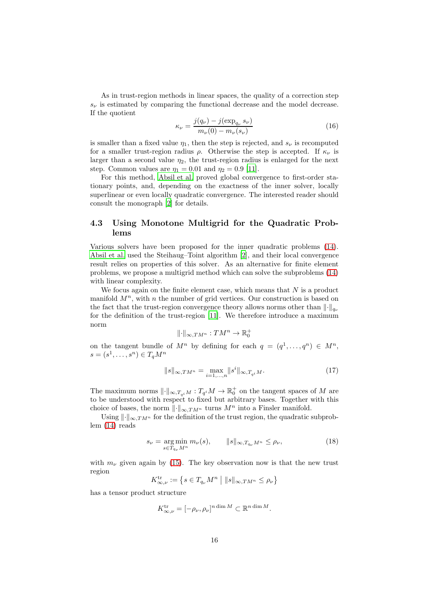As in trust-region methods in linear spaces, the quality of a correction step  $s_{\nu}$  is estimated by comparing the functional decrease and the model decrease. If the quotient

<span id="page-15-1"></span>
$$
\kappa_{\nu} = \frac{j(q_{\nu}) - j(\exp_{q_{\nu}} s_{\nu})}{m_{\nu}(0) - m_{\nu}(s_{\nu})}
$$
(16)

is smaller than a fixed value  $\eta_1$ , then the step is rejected, and  $s_{\nu}$  is recomputed for a smaller trust-region radius  $\rho$ . Otherwise the step is accepted. If  $\kappa_{\nu}$  is larger than a second value  $\eta_2$ , the trust-region radius is enlarged for the next step. Common values are  $\eta_1 = 0.01$  and  $\eta_2 = 0.9$  [\[11](#page-29-10)].

For this method, [Absil et al.](#page-29-9) proved global convergence to first-order stationary points, and, depending on the exactness of the inner solver, locally superlinear or even locally quadratic convergence. The interested reader should consult the monograph [\[2](#page-29-9)] for details.

## 4.3 Using Monotone Multigrid for the Quadratic Problems

Various solvers have been proposed for the inner quadratic problems [\(14\)](#page-14-2). [Absil et al.](#page-29-9) used the Steihaug–Toint algorithm [\[2\]](#page-29-9), and their local convergence result relies on properties of this solver. As an alternative for finite element problems, we propose a multigrid method which can solve the subproblems [\(14\)](#page-14-2) with linear complexity.

We focus again on the finite element case, which means that  $N$  is a product manifold  $M^n$ , with n the number of grid vertices. Our construction is based on the fact that the trust-region convergence theory allows norms other than  $\|\cdot\|_{q_{\nu}}$ for the definition of the trust-region [\[11](#page-29-10)]. We therefore introduce a maximum norm

$$
\|\cdot\|_{\infty,TM^n}:TM^n\to\mathbb{R}^+_0
$$

on the tangent bundle of  $M^n$  by defining for each  $q = (q^1, \ldots, q^n) \in M^n$ ,  $s = (s^1, \dots, s^n) \in T_q M^n$ 

<span id="page-15-2"></span>
$$
||s||_{\infty, TM^n} = \max_{i=1,\dots,n} ||s^i||_{\infty, T_{q^i}M}.
$$
 (17)

The maximum norms  $\|\cdot\|_{\infty,T_{q^i}M}: T_{q^i}M \to \mathbb{R}^+_0$  on the tangent spaces of M are to be understood with respect to fixed but arbitrary bases. Together with this choice of bases, the norm  $\lVert \cdot \rVert_{\infty, TM^n}$  turns  $M^n$  into a Finsler manifold.

Using  $\|\cdot\|_{\infty,TM^n}$  for the definition of the trust region, the quadratic subproblem [\(14\)](#page-14-2) reads

<span id="page-15-0"></span>
$$
s_{\nu} = \underset{s \in T_{q_{\nu}} M^n}{\arg \min} m_{\nu}(s), \qquad ||s||_{\infty, T_{q_{\nu}} M^n} \le \rho_{\nu}, \tag{18}
$$

with  $m_{\nu}$  given again by [\(15\)](#page-14-1). The key observation now is that the new trust region

$$
K_{\infty,\nu}^{\mathrm{tr}}:=\left\{s\in T_{q_{\nu}}M^{n}\;\middle\vert\; \|s\|_{\infty,TM^{n}}\leq\rho_{\nu}\right\}
$$

has a tensor product structure

$$
K_{\infty,\nu}^{\mathrm{tr}} = [-\rho_{\nu}, \rho_{\nu}]^{n \dim M} \subset \mathbb{R}^{n \dim M}.
$$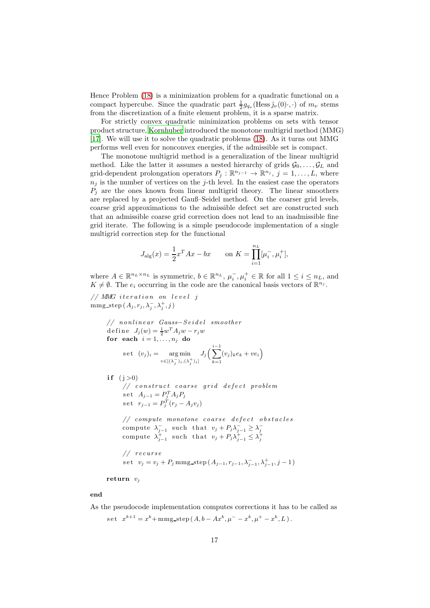Hence Problem [\(18\)](#page-15-0) is a minimization problem for a quadratic functional on a compact hypercube. Since the quadratic part  $\frac{1}{2}g_{q_{\nu}}(\text{Hess}\,\hat{\jmath}_{\nu}(0),\cdot)$  of  $m_{\nu}$  stems from the discretization of a finite element problem, it is a sparse matrix.

For strictly convex quadratic minimization problems on sets with tensor product structure, [Kornhuber](#page-30-12) introduced the monotone multigrid method (MMG) [\[17\]](#page-30-12). We will use it to solve the quadratic problems [\(18\)](#page-15-0). As it turns out MMG performs well even for nonconvex energies, if the admissible set is compact.

The monotone multigrid method is a generalization of the linear multigrid method. Like the latter it assumes a nested hierarchy of grids  $\mathcal{G}_0, \ldots, \mathcal{G}_L$  and grid-dependent prolongation operators  $P_j : \mathbb{R}^{n_{j-1}} \to \mathbb{R}^{n_j}$ ,  $j = 1, ..., L$ , where  $n_j$  is the number of vertices on the j-th level. In the easiest case the operators  $P_j$  are the ones known from linear multigrid theory. The linear smoothers are replaced by a projected Gauß–Seidel method. On the coarser grid levels, coarse grid approximations to the admissible defect set are constructed such that an admissible coarse grid correction does not lead to an inadmissible fine grid iterate. The following is a simple pseudocode implementation of a single multigrid correction step for the functional

$$
J_{\rm alg}(x) = \frac{1}{2}x^T A x - bx \qquad \text{on } K = \prod_{i=1}^{n_L} [\mu_i^-, \mu_i^+],
$$

where  $A \in \mathbb{R}^{n_L \times n_L}$  is symmetric,  $b \in \mathbb{R}^{n_L}$ ,  $\mu_i^-, \mu_i^+ \in \mathbb{R}$  for all  $1 \le i \le n_L$ , and  $K \neq \emptyset$ . The  $e_i$  occurring in the code are the canonical basis vectors of  $\mathbb{R}^{n_j}$ .

 $// MMG iteration on level j$ mmg\_step  $(A_j, r_j, \lambda_j^-, \lambda_j^+, j)$ 

// nonlinear Gauss-Seidel smoother  
\ndefine 
$$
J_j(w) = \frac{1}{2}w^T A_j w - r_j w
$$
  
\n**for each**  $i = 1,..., n_j$  **do**  
\n
$$
\text{set } (v_j)_i = \underset{v \in [(\lambda_j^-)_i, (\lambda_j^+)_i]}{\arg \min} J_j \Big( \sum_{k=1}^{i-1} (v_j)_k e_k + v e_i \Big)
$$

if  $(j>0)$  $// \ construct \ coarse \ grid \ defect \ problem$ set  $A_{j-1} = P_j^T A_j P_j$ set  $r_{j-1} = P_j^T(r_j - A_j v_j)$  $// compute monotone coarse defect obstacles$ compute  $\lambda_{j-1}^-$  such that  $v_j + P_j \lambda_{j-1}^- \geq \lambda_j^-$ <br>compute  $\lambda_{j-1}^+$  such that  $v_j + P_j \lambda_{j-1}^+ \leq \lambda_j^+$  $//$   $recurse$ s e t  $v_j = v_j + P_j$  mmg\_step  $(A_{j-1}, r_{j-1}, \lambda_{j-1}^+, \lambda_{j-1}^+, j-1)$ 

return  $v_i$ 

#### end

As the pseudocode implementation computes corrections it has to be called as s e t  $x^{k+1} = x^k + \text{mmg\_step} (A, b - Ax^k, \mu^- - x^k, \mu^+ - x^k, L).$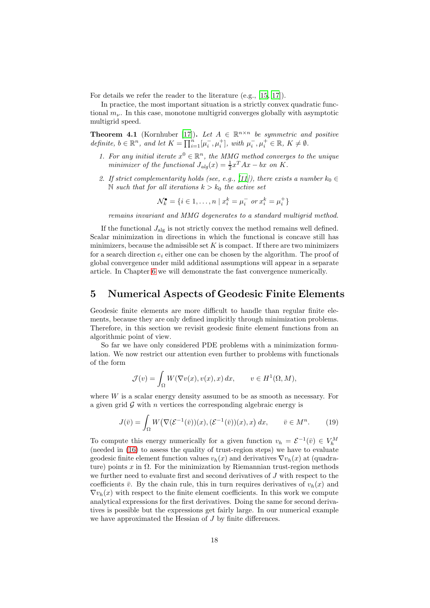For details we refer the reader to the literature (e.g., [\[15](#page-30-13), [17\]](#page-30-12)).

In practice, the most important situation is a strictly convex quadratic functional  $m_{\nu}$ . In this case, monotone multigrid converges globally with asymptotic multigrid speed.

**Theorem 4.1** (Kornhuber [\[17\]](#page-30-12)). Let  $A \in \mathbb{R}^{n \times n}$  be symmetric and positive definite,  $b \in \mathbb{R}^n$ , and let  $K = \prod_{i=1}^n [\mu_i^-, \mu_i^+]$ , with  $\mu_i^-, \mu_i^+ \in \mathbb{R}, K \neq \emptyset$ .

- 1. For any initial iterate  $x^0 \in \mathbb{R}^n$ , the MMG method converges to the unique minimizer of the functional  $J_{alg}(x) = \frac{1}{2}x^{T}Ax - bx$  on K.
- 2. If strict complementarity holds (see, e.g., [\[11](#page-29-10)]), there exists a number  $k_0 \in$ N such that for all iterations  $k > k_0$  the active set

 $\mathcal{N}_k^{\bullet} = \{i \in 1, \ldots, n \mid x_i^k = \mu_i^- \text{ or } x_i^k = \mu_i^+\}$ 

remains invariant and MMG degenerates to a standard multigrid method.

If the functional  $J_{\text{alg}}$  is not strictly convex the method remains well defined. Scalar minimization in directions in which the functional is concave still has minimizers, because the admissible set  $K$  is compact. If there are two minimizers for a search direction  $e_i$  either one can be chosen by the algorithm. The proof of global convergence under mild additional assumptions will appear in a separate article. In Chapter [6](#page-22-0) we will demonstrate the fast convergence numerically.

## <span id="page-17-0"></span>5 Numerical Aspects of Geodesic Finite Elements

Geodesic finite elements are more difficult to handle than regular finite elements, because they are only defined implicitly through minimization problems. Therefore, in this section we revisit geodesic finite element functions from an algorithmic point of view.

So far we have only considered PDE problems with a minimization formulation. We now restrict our attention even further to problems with functionals of the form

$$
\mathcal{J}(v) = \int_{\Omega} W(\nabla v(x), v(x), x) dx, \qquad v \in H^{1}(\Omega, M),
$$

where W is a scalar energy density assumed to be as smooth as necessary. For a given grid  $\mathcal G$  with n vertices the corresponding algebraic energy is

<span id="page-17-1"></span>
$$
J(\bar{v}) = \int_{\Omega} W\big(\nabla(\mathcal{E}^{-1}(\bar{v}))(x), (\mathcal{E}^{-1}(\bar{v}))(x), x\big) dx, \qquad \bar{v} \in M^n. \tag{19}
$$

To compute this energy numerically for a given function  $v_h = \mathcal{E}^{-1}(\bar{v}) \in V_h^M$ (needed in [\(16\)](#page-15-1) to assess the quality of trust-region steps) we have to evaluate geodesic finite element function values  $v_h(x)$  and derivatives  $\nabla v_h(x)$  at (quadrature) points x in  $\Omega$ . For the minimization by Riemannian trust-region methods we further need to evaluate first and second derivatives of  $J$  with respect to the coefficients  $\bar{v}$ . By the chain rule, this in turn requires derivatives of  $v_h(x)$  and  $\nabla v_h(x)$  with respect to the finite element coefficients. In this work we compute analytical expressions for the first derivatives. Doing the same for second derivatives is possible but the expressions get fairly large. In our numerical example we have approximated the Hessian of J by finite differences.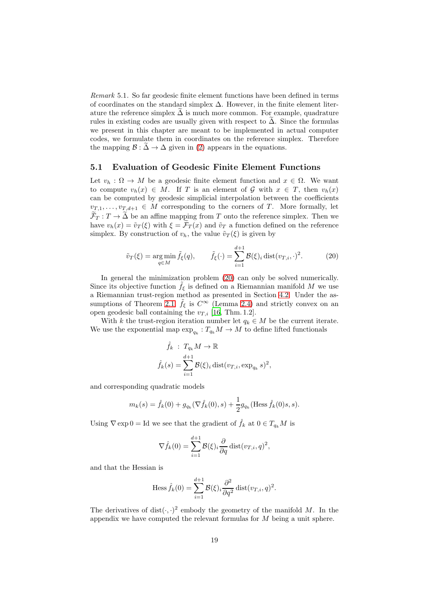Remark 5.1. So far geodesic finite element functions have been defined in terms of coordinates on the standard simplex  $\Delta$ . However, in the finite element literature the reference simplex  $\Delta$  is much more common. For example, quadrature rules in existing codes are usually given with respect to  $\tilde{\Delta}$ . Since the formulas we present in this chapter are meant to be implemented in actual computer codes, we formulate them in coordinates on the reference simplex. Therefore the mapping  $\mathcal{B} : \Delta \to \Delta$  given in [\(2\)](#page-3-3) appears in the equations.

### <span id="page-18-1"></span>5.1 Evaluation of Geodesic Finite Element Functions

Let  $v_h : \Omega \to M$  be a geodesic finite element function and  $x \in \Omega$ . We want to compute  $v_h(x) \in M$ . If T is an element of G with  $x \in T$ , then  $v_h(x)$ can be computed by geodesic simplicial interpolation between the coefficients  $v_{T,1}, \ldots, v_{T,d+1} \in M$  corresponding to the corners of T. More formally, let  $\widetilde{\mathcal{F}}_T: T \to \widetilde{\Delta}$  be an affine mapping from T onto the reference simplex. Then we have  $v_h(x) = \tilde{v}_T(\xi)$  with  $\xi = \tilde{\mathcal{F}}_T(x)$  and  $\tilde{v}_T$  a function defined on the reference simplex. By construction of  $v_h$ , the value  $\tilde{v}_T(\xi)$  is given by

<span id="page-18-0"></span>
$$
\tilde{v}_T(\xi) = \underset{q \in M}{\text{arg min}} \tilde{f}_{\xi}(q), \qquad \tilde{f}_{\xi}(\cdot) = \sum_{i=1}^{d+1} \mathcal{B}(\xi)_i \operatorname{dist}(v_{T,i}, \cdot)^2. \tag{20}
$$

In general the minimization problem  $(20)$  can only be solved numerically. Since its objective function  $\hat{f}_{\xi}$  is defined on a Riemannian manifold M we use a Riemannian trust-region method as presented in Section [4.2.](#page-14-3) Under the as-sumptions of Theorem [2.1,](#page-5-0)  $\tilde{f}_{\xi}$  is  $C^{\infty}$  (Lemma [2.4\)](#page-7-0) and strictly convex on an open geodesic ball containing the  $v_{T,i}$  [\[16,](#page-30-9) Thm. 1.2].

With k the trust-region iteration number let  $q_k \in M$  be the current iterate. We use the exponential map  $\exp_{q_k}: T_{q_k}M \to M$  to define lifted functionals

$$
\hat{f}_k : T_{q_k} M \to \mathbb{R}
$$
  

$$
\hat{f}_k(s) = \sum_{i=1}^{d+1} \mathcal{B}(\xi)_i \operatorname{dist}(v_{T,i}, \exp_{q_k} s)^2,
$$

and corresponding quadratic models

$$
m_k(s) = \hat{f}_k(0) + g_{q_k}(\nabla \hat{f}_k(0), s) + \frac{1}{2}g_{q_k}(\text{Hess}\,\hat{f}_k(0)s, s).
$$

Using  $\nabla \exp 0 = \text{Id}$  we see that the gradient of  $\hat{f}_k$  at  $0 \in T_{q_k}M$  is

$$
\nabla \hat{f}_k(0) = \sum_{i=1}^{d+1} \mathcal{B}(\xi)_i \frac{\partial}{\partial q} \text{dist}(v_{T,i}, q)^2,
$$

and that the Hessian is

Hess 
$$
\hat{f}_k(0) = \sum_{i=1}^{d+1} \mathcal{B}(\xi)_i \frac{\partial^2}{\partial q^2} \text{dist}(v_{T,i}, q)^2
$$
.

The derivatives of dist $(\cdot, \cdot)^2$  embody the geometry of the manifold M. In the appendix we have computed the relevant formulas for  $M$  being a unit sphere.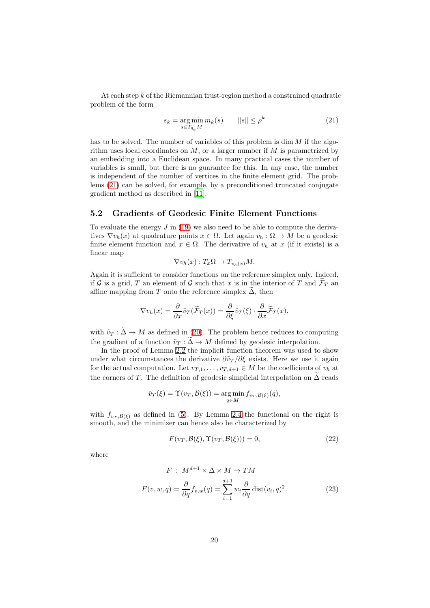At each step k of the Riemannian trust-region method a constrained quadratic problem of the form

<span id="page-19-0"></span>
$$
s_k = \underset{s \in T_{q_k} M}{\arg \min m_k(s)} \qquad ||s|| \le \rho^k \tag{21}
$$

has to be solved. The number of variables of this problem is  $\dim M$  if the algorithm uses local coordinates on  $M$ , or a larger number if  $M$  is parametrized by an embedding into a Euclidean space. In many practical cases the number of variables is small, but there is no guarantee for this. In any case, the number is independent of the number of vertices in the finite element grid. The problems [\(21\)](#page-19-0) can be solved, for example, by a preconditioned truncated conjugate gradient method as described in [\[11\]](#page-29-10).

# <span id="page-19-3"></span>5.2 Gradients of Geodesic Finite Element Functions

To evaluate the energy  $J$  in [\(19\)](#page-17-1) we also need to be able to compute the derivatives  $\nabla v_h(x)$  at quadrature points  $x \in \Omega$ . Let again  $v_h : \Omega \to M$  be a geodesic finite element function and  $x \in \Omega$ . The derivative of  $v_h$  at x (if it exists) is a linear map

$$
\nabla v_h(x) : T_x\Omega \to T_{v_h(x)}M.
$$

Again it is sufficient to consider functions on the reference simplex only. Indeed, if G is a grid, T an element of G such that x is in the interior of T and  $\mathcal{F}_T$  and affine mapping from T onto the reference simplex  $\Delta$ , then

$$
\nabla v_h(x) = \frac{\partial}{\partial x} \tilde{v}_T(\tilde{\mathcal{F}}_T(x)) = \frac{\partial}{\partial \xi} \tilde{v}_T(\xi) \cdot \frac{\partial}{\partial x} \tilde{\mathcal{F}}_T(x),
$$

with  $\tilde{v}_T : \tilde{\Delta} \to M$  as defined in [\(20\)](#page-18-0). The problem hence reduces to computing the gradient of a function  $\tilde{v}_T : \Delta \to M$  defined by geodesic interpolation.

In the proof of Lemma [2.2](#page-7-1) the implicit function theorem was used to show under what circumstances the derivative  $\partial \tilde{v}_T / \partial \xi$  exists. Here we use it again for the actual computation. Let  $v_{T,1}, \ldots, v_{T,d+1} \in M$  be the coefficients of  $v_h$  at the corners of T. The definition of geodesic simplicial interpolation on  $\tilde{\Delta}$  reads

$$
\tilde{v}_T(\xi) = \Upsilon(v_T, \mathcal{B}(\xi)) = \underset{q \in M}{\arg \min} f_{v_T, \mathcal{B}(\xi)}(q),
$$

with  $f_{v_T, \mathcal{B}(\xi)}$  as defined in [\(5\)](#page-4-1). By Lemma [2.4](#page-7-0) the functional on the right is smooth, and the minimizer can hence also be characterized by

<span id="page-19-2"></span><span id="page-19-1"></span>
$$
F(v_T, \mathcal{B}(\xi), \Upsilon(v_T, \mathcal{B}(\xi))) = 0,
$$
\n(22)

where

$$
F: M^{d+1} \times \Delta \times M \to TM
$$
  

$$
F(v, w, q) = \frac{\partial}{\partial q} f_{v,w}(q) = \sum_{i=1}^{d+1} w_i \frac{\partial}{\partial q} \text{dist}(v_i, q)^2.
$$
 (23)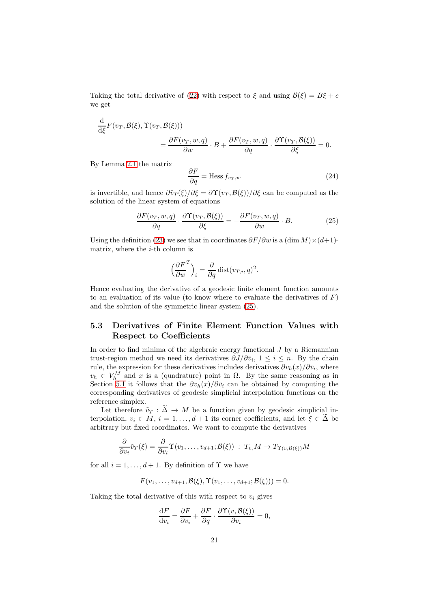Taking the total derivative of [\(22\)](#page-19-1) with respect to  $\xi$  and using  $\mathcal{B}(\xi) = B\xi + c$ we get

$$
\frac{\mathrm{d}}{\mathrm{d}\xi}F(v_T, \mathcal{B}(\xi), \Upsilon(v_T, \mathcal{B}(\xi)))
$$
\n
$$
= \frac{\partial F(v_T, w, q)}{\partial w} \cdot B + \frac{\partial F(v_T, w, q)}{\partial q} \cdot \frac{\partial \Upsilon(v_T, \mathcal{B}(\xi))}{\partial \xi} = 0.
$$

By Lemma [2.1](#page-5-2) the matrix

<span id="page-20-1"></span>
$$
\frac{\partial F}{\partial q} = \text{Hess}\, f_{v_T, w} \tag{24}
$$

is invertible, and hence  $\frac{\partial \tilde{v}_T(\xi)}{\partial \xi} = \frac{\partial \Upsilon(v_T, \mathcal{B}(\xi))}{\partial \xi}$  can be computed as the solution of the linear system of equations

<span id="page-20-0"></span>
$$
\frac{\partial F(v_T, w, q)}{\partial q} \cdot \frac{\partial \Upsilon(v_T, \mathcal{B}(\xi))}{\partial \xi} = -\frac{\partial F(v_T, w, q)}{\partial w} \cdot B. \tag{25}
$$

Using the definition [\(23\)](#page-19-2) we see that in coordinates  $\partial F/\partial w$  is a  $(\dim M) \times (d+1)$ matrix, where the  $i$ -th column is

$$
\left(\frac{\partial F}{\partial w}^T\right)_i = \frac{\partial}{\partial q} \text{dist}(v_{T,i}, q)^2.
$$

Hence evaluating the derivative of a geodesic finite element function amounts to an evaluation of its value (to know where to evaluate the derivatives of  $F$ ) and the solution of the symmetric linear system [\(25\)](#page-20-0).

# 5.3 Derivatives of Finite Element Function Values with Respect to Coefficients

In order to find minima of the algebraic energy functional  $J$  by a Riemannian trust-region method we need its derivatives  $\partial J/\partial \bar{v}_i$ ,  $1 \leq i \leq n$ . By the chain rule, the expression for these derivatives includes derivatives  $\partial v_h(x)/\partial \bar{v}_i$ , where  $v_h \in V_h^M$  and x is a (quadrature) point in  $\Omega$ . By the same reasoning as in Section [5.1](#page-18-1) it follows that the  $\partial v_h(x)/\partial \bar{v}_i$  can be obtained by computing the corresponding derivatives of geodesic simplicial interpolation functions on the reference simplex.

Let therefore  $\tilde{v}_T : \tilde{\Delta} \to M$  be a function given by geodesic simplicial interpolation,  $v_i \in M$ ,  $i = 1, \ldots, d+1$  its corner coefficients, and let  $\xi \in \tilde{\Delta}$  be arbitrary but fixed coordinates. We want to compute the derivatives

$$
\frac{\partial}{\partial v_i}\tilde{v}_T(\xi) = \frac{\partial}{\partial v_i}\Upsilon(v_1,\ldots,v_{d+1};\mathcal{B}(\xi)) : T_{v_i}M \to T_{\Upsilon(v,\mathcal{B}(\xi))}M
$$

for all  $i = 1, \ldots, d + 1$ . By definition of  $\Upsilon$  we have

$$
F(v_1, \ldots, v_{d+1}, \mathcal{B}(\xi), \Upsilon(v_1, \ldots, v_{d+1}; \mathcal{B}(\xi))) = 0.
$$

Taking the total derivative of this with respect to  $v_i$  gives

$$
\frac{\mathrm{d}F}{\mathrm{d}v_i} = \frac{\partial F}{\partial v_i} + \frac{\partial F}{\partial q} \cdot \frac{\partial \Upsilon(v, \mathcal{B}(\xi))}{\partial v_i} = 0,
$$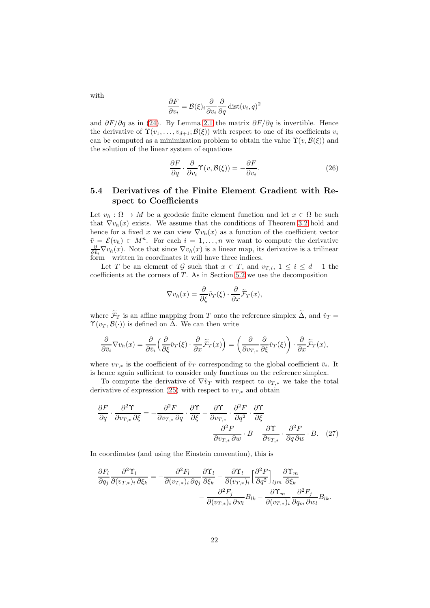$$
\frac{\partial F}{\partial v_i} = \mathcal{B}(\xi)_i \frac{\partial}{\partial v_i} \frac{\partial}{\partial q} \text{dist}(v_i, q)^2
$$

and  $\partial F/\partial q$  as in [\(24\)](#page-20-1). By Lemma [2.1](#page-5-2) the matrix  $\partial F/\partial q$  is invertible. Hence the derivative of  $\Upsilon(v_1,\ldots,v_{d+1};\mathcal{B}(\xi))$  with respect to one of its coefficients  $v_i$ can be computed as a minimization problem to obtain the value  $\Upsilon(v,\mathcal{B}(\xi))$  and the solution of the linear system of equations

<span id="page-21-1"></span>
$$
\frac{\partial F}{\partial q} \cdot \frac{\partial}{\partial v_i} \Upsilon(v, \mathcal{B}(\xi)) = -\frac{\partial F}{\partial v_i}.
$$
 (26)

## 5.4 Derivatives of the Finite Element Gradient with Respect to Coefficients

Let  $v_h : \Omega \to M$  be a geodesic finite element function and let  $x \in \Omega$  be such that  $\nabla v_h(x)$  exists. We assume that the conditions of Theorem [3.2](#page-11-0) hold and hence for a fixed x we can view  $\nabla v_h(x)$  as a function of the coefficient vector  $\bar{v} = \mathcal{E}(v_h) \in M^n$ . For each  $i = 1, \ldots, n$  we want to compute the derivative  $\frac{\partial}{\partial \bar{v}_i} \nabla v_h(x)$ . Note that since  $\nabla v_h(x)$  is a linear map, its derivative is a trilinear form—written in coordinates it will have three indices.

Let T be an element of G such that  $x \in T$ , and  $v_{T,i}$ ,  $1 \leq i \leq d+1$  the coefficients at the corners of  $T$ . As in Section [5.2](#page-19-3) we use the decomposition

<span id="page-21-0"></span>
$$
\nabla v_h(x) = \frac{\partial}{\partial \xi} \tilde{v}_T(\xi) \cdot \frac{\partial}{\partial x} \tilde{\mathcal{F}}_T(x),
$$

where  $\widetilde{\mathcal{F}}_T$  is an affine mapping from T onto the reference simplex  $\widetilde{\Delta}$ , and  $\widetilde{v}_T =$  $\Upsilon(v_T, \mathcal{B}(\cdot))$  is defined on  $\Delta$ . We can then write

$$
\frac{\partial}{\partial \bar{v}_i} \nabla v_h(x) = \frac{\partial}{\partial \bar{v}_i} \left( \frac{\partial}{\partial \xi} \tilde{v}_T(\xi) \cdot \frac{\partial}{\partial x} \tilde{\mathcal{F}}_T(x) \right) = \left( \frac{\partial}{\partial v_{T,*}} \frac{\partial}{\partial \xi} \tilde{v}_T(\xi) \right) \cdot \frac{\partial}{\partial x} \tilde{\mathcal{F}}_T(x),
$$

where  $v_{T,*}$  is the coefficient of  $\tilde{v}_T$  corresponding to the global coefficient  $\bar{v}_i$ . It is hence again sufficient to consider only functions on the reference simplex.

To compute the derivative of  $\nabla \tilde{v}_T$  with respect to  $v_{T,*}$  we take the total derivative of expression [\(25\)](#page-20-0) with respect to  $v_{T,*}$  and obtain

$$
\frac{\partial F}{\partial q} \cdot \frac{\partial^2 \Upsilon}{\partial v_{T,*} \partial \xi} = -\frac{\partial^2 F}{\partial v_{T,*} \partial q} \cdot \frac{\partial \Upsilon}{\partial \xi} - \frac{\partial \Upsilon}{\partial v_{T,*}} \cdot \frac{\partial^2 F}{\partial q^2} \cdot \frac{\partial \Upsilon}{\partial \xi} \n- \frac{\partial^2 F}{\partial v_{T,*} \partial w} \cdot B - \frac{\partial \Upsilon}{\partial v_{T,*}} \cdot \frac{\partial^2 F}{\partial q \partial w} \cdot B. \quad (27)
$$

In coordinates (and using the Einstein convention), this is

$$
\frac{\partial F_l}{\partial q_j} \frac{\partial^2 \Upsilon_l}{\partial (v_{T,*})_i \partial \xi_k} = -\frac{\partial^2 F_l}{\partial (v_{T,*})_i \partial q_j} \frac{\partial \Upsilon_l}{\partial \xi_k} - \frac{\partial \Upsilon_l}{\partial (v_{T,*})_i} \left[ \frac{\partial^2 F}{\partial q^2} \right]_{ljm} \frac{\partial \Upsilon_m}{\partial \xi_k} \n- \frac{\partial^2 F_j}{\partial (v_{T,*})_i \partial w_l} B_{lk} - \frac{\partial \Upsilon_m}{\partial (v_{T,*})_i} \frac{\partial^2 F_j}{\partial q_m \partial w_l} B_{lk}.
$$

with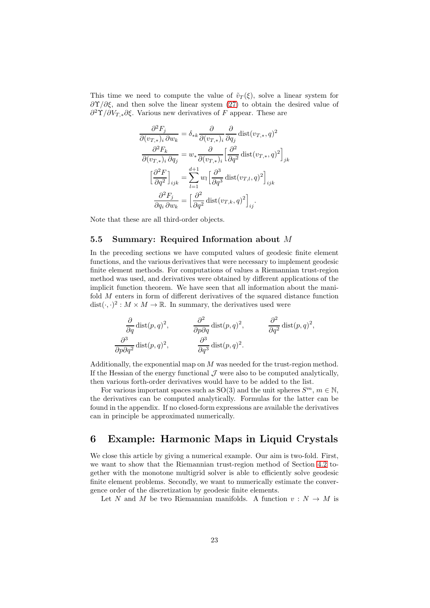This time we need to compute the value of  $\tilde{v}_T(\xi)$ , solve a linear system for  $\frac{\partial \Upsilon}{\partial \xi}$ , and then solve the linear system [\(27\)](#page-21-0) to obtain the desired value of  $\partial^2 \Upsilon / \partial V_{T,*} \partial \xi$ . Various new derivatives of F appear. These are

$$
\frac{\partial^2 F_j}{\partial (v_{T,*})_i \partial w_k} = \delta_{*k} \frac{\partial}{\partial (v_{T,*})_i} \frac{\partial}{\partial q_j} \text{dist}(v_{T,*}, q)^2
$$

$$
\frac{\partial^2 F_k}{\partial (v_{T,*})_i \partial q_j} = w_* \frac{\partial}{\partial (v_{T,*})_i} \left[ \frac{\partial^2}{\partial q^2} \text{dist}(v_{T,*}, q)^2 \right]_{jk}
$$

$$
\left[ \frac{\partial^2 F}{\partial q^2} \right]_{ijk} = \sum_{l=1}^{d+1} w_l \left[ \frac{\partial^3}{\partial q^3} \text{dist}(v_{T,l}, q)^2 \right]_{ijk}
$$

$$
\frac{\partial^2 F_j}{\partial q_i \partial w_k} = \left[ \frac{\partial^2}{\partial q^2} \text{dist}(v_{T,k}, q)^2 \right]_{ij}.
$$

Note that these are all third-order objects.

## <span id="page-22-1"></span>5.5 Summary: Required Information about M

In the preceding sections we have computed values of geodesic finite element functions, and the various derivatives that were necessary to implement geodesic finite element methods. For computations of values a Riemannian trust-region method was used, and derivatives were obtained by different applications of the implicit function theorem. We have seen that all information about the manifold  $M$  enters in form of different derivatives of the squared distance function  $dist(\cdot, \cdot)^2 : M \times M \to \mathbb{R}$ . In summary, the derivatives used were

$$
\frac{\partial}{\partial q} \text{dist}(p, q)^2, \qquad \frac{\partial^2}{\partial p \partial q} \text{dist}(p, q)^2, \qquad \frac{\partial^2}{\partial q^2} \text{dist}(p, q)^2,
$$
  

$$
\frac{\partial^3}{\partial p \partial q^2} \text{dist}(p, q)^2, \qquad \frac{\partial^3}{\partial q^3} \text{dist}(p, q)^2.
$$

Additionally, the exponential map on  $M$  was needed for the trust-region method. If the Hessian of the energy functional  $\mathcal J$  were also to be computed analytically, then various forth-order derivatives would have to be added to the list.

For various important spaces such as SO(3) and the unit spheres  $S^m$ ,  $m \in \mathbb{N}$ , the derivatives can be computed analytically. Formulas for the latter can be found in the appendix. If no closed-form expressions are available the derivatives can in principle be approximated numerically.

# <span id="page-22-0"></span>6 Example: Harmonic Maps in Liquid Crystals

We close this article by giving a numerical example. Our aim is two-fold. First, we want to show that the Riemannian trust-region method of Section [4.2](#page-14-3) together with the monotone multigrid solver is able to efficiently solve geodesic finite element problems. Secondly, we want to numerically estimate the convergence order of the discretization by geodesic finite elements.

Let N and M be two Riemannian manifolds. A function  $v : N \to M$  is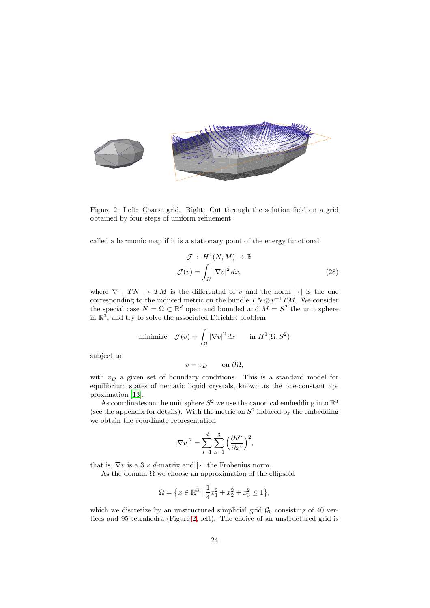

<span id="page-23-0"></span>Figure 2: Left: Coarse grid. Right: Cut through the solution field on a grid obtained by four steps of uniform refinement.

called a harmonic map if it is a stationary point of the energy functional

<span id="page-23-1"></span>
$$
\mathcal{J}: H^1(N,M) \to \mathbb{R}
$$

$$
\mathcal{J}(v) = \int_N |\nabla v|^2 dx,
$$
 (28)

where  $\nabla : TN \to TM$  is the differential of v and the norm | · | is the one corresponding to the induced metric on the bundle  $TN \otimes v^{-1}TM$ . We consider the special case  $N = \Omega \subset \mathbb{R}^d$  open and bounded and  $M = S^2$  the unit sphere in  $\mathbb{R}^3$ , and try to solve the associated Dirichlet problem

minimize 
$$
\mathcal{J}(v) = \int_{\Omega} |\nabla v|^2 dx
$$
 in  $H^1(\Omega, S^2)$ 

subject to

$$
v = v_D \qquad \text{on } \partial \Omega,
$$

with  $v_D$  a given set of boundary conditions. This is a standard model for equilibrium states of nematic liquid crystals, known as the one-constant approximation [\[13\]](#page-30-1).

As coordinates on the unit sphere  $S^2$  we use the canonical embedding into  $\mathbb{R}^3$ (see the appendix for details). With the metric on  $S^2$  induced by the embedding we obtain the coordinate representation

$$
|\nabla v|^2 = \sum_{i=1}^d \sum_{\alpha=1}^3 \left(\frac{\partial v^{\alpha}}{\partial x^i}\right)^2,
$$

that is,  $\nabla v$  is a  $3 \times d$ -matrix and  $|\cdot|$  the Frobenius norm.

As the domain  $\Omega$  we choose an approximation of the ellipsoid

$$
\Omega = \left\{ x \in \mathbb{R}^3 \mid \frac{1}{4}x_1^2 + x_2^2 + x_3^2 \le 1 \right\},\
$$

which we discretize by an unstructured simplicial grid  $\mathcal{G}_0$  consisting of 40 vertices and 95 tetrahedra (Figure [2,](#page-23-0) left). The choice of an unstructured grid is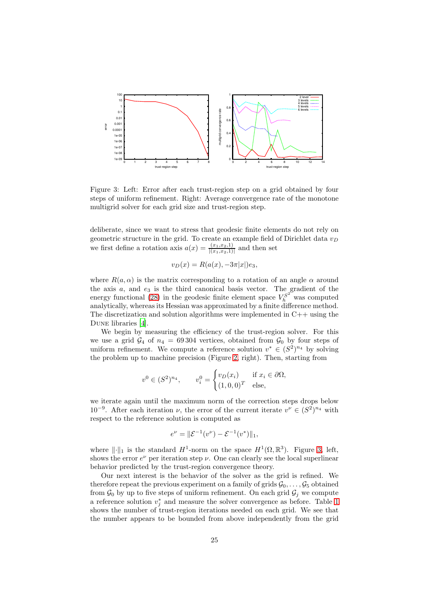

<span id="page-24-0"></span>Figure 3: Left: Error after each trust-region step on a grid obtained by four steps of uniform refinement. Right: Average convergence rate of the monotone multigrid solver for each grid size and trust-region step.

deliberate, since we want to stress that geodesic finite elements do not rely on geometric structure in the grid. To create an example field of Dirichlet data  $v_D$ we first define a rotation axis  $a(x) = \frac{(x_1, x_2, 1)}{|(x_1, x_2, 1)|}$  and then set

$$
v_D(x) = R(a(x), -3\pi|x|)e_3,
$$

where  $R(a, \alpha)$  is the matrix corresponding to a rotation of an angle  $\alpha$  around the axis  $a$ , and  $e_3$  is the third canonical basis vector. The gradient of the energy functional [\(28\)](#page-23-1) in the geodesic finite element space  $V_h^{S^2}$  was computed analytically, whereas its Hessian was approximated by a finite difference method. The discretization and solution algorithms were implemented in  $C++$  using the Dune libraries [\[4](#page-29-11)].

We begin by measuring the efficiency of the trust-region solver. For this we use a grid  $\mathcal{G}_4$  of  $n_4 = 69304$  vertices, obtained from  $\mathcal{G}_0$  by four steps of uniform refinement. We compute a reference solution  $v^* \in (S^2)^{n_4}$  by solving the problem up to machine precision (Figure [2,](#page-23-0) right). Then, starting from

$$
v^0 \in (S^2)^{n_4}, \qquad v_i^0 = \begin{cases} v_D(x_i) & \text{if } x_i \in \partial \Omega, \\ (1,0,0)^T & \text{else,} \end{cases}
$$

we iterate again until the maximum norm of the correction steps drops below 10<sup>-9</sup>. After each iteration  $\nu$ , the error of the current iterate  $v^{\nu} \in (S^2)^{n_4}$  with respect to the reference solution is computed as

$$
e^{\nu} = \|\mathcal{E}^{-1}(v^{\nu}) - \mathcal{E}^{-1}(v^*)\|_1,
$$

where  $\|\cdot\|_1$  is the standard  $H^1$ -norm on the space  $H^1(\Omega,\mathbb{R}^3)$ . Figure [3,](#page-24-0) left, shows the error  $e^{\nu}$  per iteration step  $\nu$ . One can clearly see the local superlinear behavior predicted by the trust-region convergence theory.

Our next interest is the behavior of the solver as the grid is refined. We therefore repeat the previous experiment on a family of grids  $\mathcal{G}_0, \ldots, \mathcal{G}_5$  obtained from  $\mathcal{G}_0$  by up to five steps of uniform refinement. On each grid  $\mathcal{G}_j$  we compute a reference solution  $v_j^*$  and measure the solver convergence as before. Table [1](#page-25-0) shows the number of trust-region iterations needed on each grid. We see that the number appears to be bounded from above independently from the grid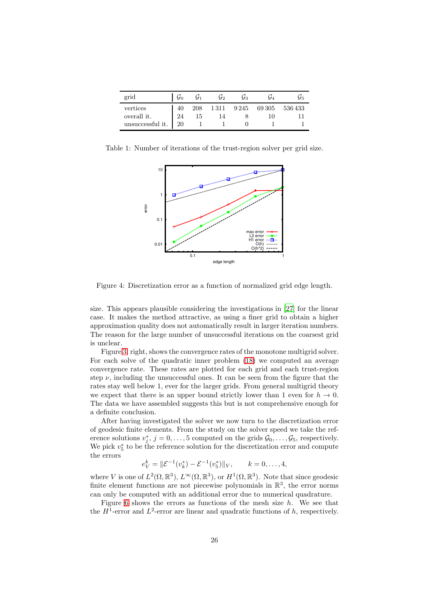| grid                        | $\mathcal{G}_0$ | $\mathcal{G}_1$ | $\mathcal{G}_2$ | $\mathcal{G}_3$ | $\mathcal{G}_4$ | Ú5                         |
|-----------------------------|-----------------|-----------------|-----------------|-----------------|-----------------|----------------------------|
| vertices                    | 40              | 208             |                 |                 |                 | 1 311 9 245 69 305 536 433 |
| overall it.                 | 24              | 15              | 14              |                 |                 |                            |
| unsuccessful it. $\vert$ 20 |                 |                 |                 |                 |                 |                            |

Table 1: Number of iterations of the trust-region solver per grid size.

<span id="page-25-0"></span>

Figure 4: Discretization error as a function of normalized grid edge length.

size. This appears plausible considering the investigations in [\[27\]](#page-30-14) for the linear case. It makes the method attractive, as using a finer grid to obtain a higher approximation quality does not automatically result in larger iteration numbers. The reason for the large number of unsuccessful iterations on the coarsest grid is unclear.

Figure [3,](#page-24-0) right, shows the convergence rates of the monotone multigrid solver. For each solve of the quadratic inner problem [\(18\)](#page-15-0) we computed an average convergence rate. These rates are plotted for each grid and each trust-region step  $\nu$ , including the unsuccessful ones. It can be seen from the figure that the rates stay well below 1, ever for the larger grids. From general multigrid theory we expect that there is an upper bound strictly lower than 1 even for  $h \to 0$ . The data we have assembled suggests this but is not comprehensive enough for a definite conclusion.

After having investigated the solver we now turn to the discretization error of geodesic finite elements. From the study on the solver speed we take the reference solutions  $v_j^*, j = 0, \ldots, 5$  computed on the grids  $\mathcal{G}_0, \ldots, \mathcal{G}_5$ , respectively. We pick  $v_5^*$  to be the reference solution for the discretization error and compute the errors

$$
e_V^k = \|\mathcal{E}^{-1}(v_k^*) - \mathcal{E}^{-1}(v_5^*)\|_V, \qquad k = 0, \dots, 4,
$$

where V is one of  $L^2(\Omega,\mathbb{R}^3)$ ,  $L^\infty(\Omega,\mathbb{R}^3)$ , or  $H^1(\Omega,\mathbb{R}^3)$ . Note that since geodesic finite element functions are not piecewise polynomials in  $\mathbb{R}^3$ , the error norms can only be computed with an additional error due to numerical quadrature.

Figure [6](#page-25-0) shows the errors as functions of the mesh size  $h$ . We see that the  $H^1$ -error and  $L^2$ -error are linear and quadratic functions of h, respectively.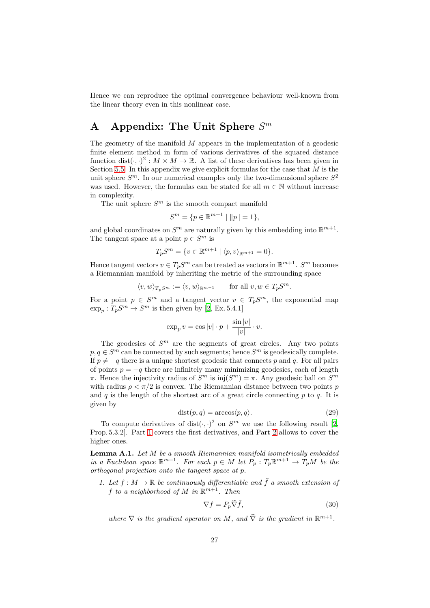Hence we can reproduce the optimal convergence behaviour well-known from the linear theory even in this nonlinear case.

# A Appendix: The Unit Sphere  $S^m$

The geometry of the manifold M appears in the implementation of a geodesic finite element method in form of various derivatives of the squared distance function  $dist(\cdot, \cdot)^2 : M \times M \to \mathbb{R}$ . A list of these derivatives has been given in Section [5.5.](#page-22-1) In this appendix we give explicit formulas for the case that  $M$  is the unit sphere  $S<sup>m</sup>$ . In our numerical examples only the two-dimensional sphere  $S<sup>2</sup>$ was used. However, the formulas can be stated for all  $m \in \mathbb{N}$  without increase in complexity.

The unit sphere  $S<sup>m</sup>$  is the smooth compact manifold

$$
S^m = \{ p \in \mathbb{R}^{m+1} \mid ||p|| = 1 \},\
$$

and global coordinates on  $S^m$  are naturally given by this embedding into  $\mathbb{R}^{m+1}$ . The tangent space at a point  $p \in S^m$  is

$$
T_p S^m = \{ v \in \mathbb{R}^{m+1} \mid \langle p, v \rangle_{\mathbb{R}^{m+1}} = 0 \}.
$$

Hence tangent vectors  $v \in T_p S^m$  can be treated as vectors in  $\mathbb{R}^{m+1}$ .  $S^m$  becomes a Riemannian manifold by inheriting the metric of the surrounding space

$$
\langle v, w \rangle_{T_pS^m} := \langle v, w \rangle_{\mathbb{R}^{m+1}} \quad \text{for all } v, w \in T_pS^m.
$$

For a point  $p \in S^m$  and a tangent vector  $v \in T_p S^m$ , the exponential map  $\exp_p: T_pS^m \to S^m$  is then given by [\[2,](#page-29-9) Ex. 5.4.1]

$$
\exp_p v = \cos|v| \cdot p + \frac{\sin|v|}{|v|} \cdot v.
$$

The geodesics of  $S<sup>m</sup>$  are the segments of great circles. Any two points  $p, q \in S^m$  can be connected by such segments; hence  $S^m$  is geodesically complete. If  $p \neq -q$  there is a unique shortest geodesic that connects p and q. For all pairs of points  $p = -q$  there are infinitely many minimizing geodesics, each of length π. Hence the injectivity radius of  $S^m$  is  $\text{inj}(S^m) = \pi$ . Any geodesic ball on  $S^m$ with radius  $\rho < \pi/2$  is convex. The Riemannian distance between two points p and q is the length of the shortest arc of a great circle connecting  $p$  to  $q$ . It is given by

<span id="page-26-1"></span>
$$
dist(p, q) = \arccos\langle p, q \rangle. \tag{29}
$$

To compute derivatives of  $dist(\cdot, \cdot)^2$  on  $S^m$  we use the following result [\[2,](#page-29-9) Prop. 5.3.2]. Part [1](#page-26-0) covers the first derivatives, and Part [2](#page-27-0) allows to cover the higher ones.

**Lemma A.1.** Let  $M$  be a smooth Riemannian manifold isometrically embedded in a Euclidean space  $\mathbb{R}^{m+1}$ . For each  $p \in M$  let  $P_p : T_p \mathbb{R}^{m+1} \to T_p M$  be the orthogonal projection onto the tangent space at p.

<span id="page-26-0"></span>1. Let  $f : M \to \mathbb{R}$  be continuously differentiable and  $\tilde{f}$  a smooth extension of f to a neighborhood of M in  $\mathbb{R}^{m+1}$ . Then

<span id="page-26-2"></span>
$$
\nabla f = P_p \widetilde{\nabla} \widetilde{f},\tag{30}
$$

where  $\nabla$  is the gradient operator on M, and  $\tilde{\nabla}$  is the gradient in  $\mathbb{R}^{m+1}$ .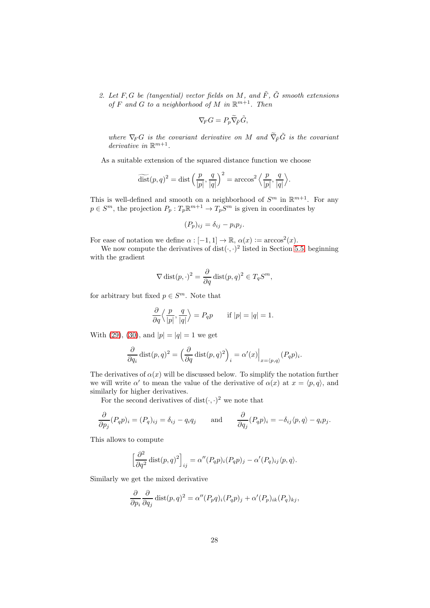<span id="page-27-0"></span>2. Let F, G be (tangential) vector fields on M, and  $\tilde{F}$ ,  $\tilde{G}$  smooth extensions of F and G to a neighborhood of M in  $\mathbb{R}^{m+1}$ . Then

$$
\nabla_F G = P_p \widetilde{\nabla}_{\tilde{F}} \tilde{G},
$$

where  $\nabla_F G$  is the covariant derivative on M and  $\widetilde{\nabla}_{\tilde{F}}\tilde{G}$  is the covariant derivative in  $\mathbb{R}^{m+1}$ .

As a suitable extension of the squared distance function we choose

$$
\widetilde{\text{dist}}(p,q)^2 = \text{dist}\left(\frac{p}{|p|}, \frac{q}{|q|}\right)^2 = \arccos^2\left\langle\frac{p}{|p|}, \frac{q}{|q|}\right\rangle.
$$

This is well-defined and smooth on a neighborhood of  $S^m$  in  $\mathbb{R}^{m+1}$ . For any  $p \in S^m$ , the projection  $P_p: T_p \mathbb{R}^{m+1} \to T_p S^m$  is given in coordinates by

$$
(P_p)_{ij} = \delta_{ij} - p_i p_j.
$$

For ease of notation we define  $\alpha : [-1,1] \to \mathbb{R}, \alpha(x) := \arccos^{2}(x)$ .

We now compute the derivatives of dist $(\cdot, \cdot)^2$  listed in Section [5.5,](#page-22-1) beginning with the gradient

$$
\nabla \operatorname{dist}(p,\cdot)^2 = \frac{\partial}{\partial q} \operatorname{dist}(p,q)^2 \in T_q S^m,
$$

for arbitrary but fixed  $p \in S^m$ . Note that

$$
\frac{\partial}{\partial q} \left\langle \frac{p}{|p|}, \frac{q}{|q|} \right\rangle = P_q p \quad \text{if } |p| = |q| = 1.
$$

With [\(29\)](#page-26-1), [\(30\)](#page-26-2), and  $|p| = |q| = 1$  we get

$$
\frac{\partial}{\partial q_i} \operatorname{dist}(p, q)^2 = \left(\frac{\partial}{\partial q} \operatorname{dist}(p, q)^2\right)_i = \alpha'(x)\Big|_{x = \langle p, q \rangle} (P_q p)_i.
$$

The derivatives of  $\alpha(x)$  will be discussed below. To simplify the notation further we will write  $\alpha'$  to mean the value of the derivative of  $\alpha(x)$  at  $x = \langle p, q \rangle$ , and similarly for higher derivatives.

For the second derivatives of  $dist(\cdot, \cdot)^2$  we note that

$$
\frac{\partial}{\partial p_j}(P_q p)_i = (P_q)_{ij} = \delta_{ij} - q_i q_j \quad \text{and} \quad \frac{\partial}{\partial q_j}(P_q p)_i = -\delta_{ij}\langle p, q \rangle - q_i p_j.
$$

This allows to compute

$$
\left[\frac{\partial^2}{\partial q^2} \operatorname{dist}(p, q)^2\right]_{ij} = \alpha''(P_q p)_i (P_q p)_j - \alpha'(P_q)_{ij} \langle p, q \rangle.
$$

Similarly we get the mixed derivative

$$
\frac{\partial}{\partial p_i} \frac{\partial}{\partial q_j} \text{dist}(p, q)^2 = \alpha''(P_p q)_i (P_q p)_j + \alpha'(P_p)_{ik} (P_q)_{kj},
$$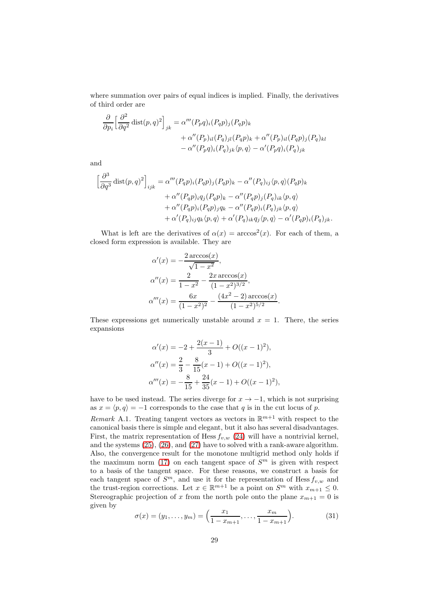where summation over pairs of equal indices is implied. Finally, the derivatives of third order are

$$
\frac{\partial}{\partial p_i} \left[ \frac{\partial^2}{\partial q^2} \operatorname{dist}(p, q)^2 \right]_{jk} = \alpha'''(P_p q)_i (P_q p)_j (P_q p)_k \n+ \alpha''(P_p)_{il} (P_q)_j (P_q p)_k + \alpha''(P_p)_{il} (P_q p)_j (P_q)_{kl} \n- \alpha''(P_p q)_i (P_q)_{jk} \langle p, q \rangle - \alpha'(P_p q)_i (P_q)_{jk}
$$

and

$$
\left[\frac{\partial^3}{\partial q^3} \operatorname{dist}(p,q)^2\right]_{ijk} = \alpha'''(P_q p)_i (P_q p)_j (P_q p)_k - \alpha''(P_q)_{ij} \langle p, q \rangle (P_q p)_k + \alpha''(P_q p)_i q_j (P_q p)_k - \alpha''(P_q p)_j (P_q)_{ik} \langle p, q \rangle + \alpha''(P_q p)_i (P_q p)_j q_k - \alpha''(P_q p)_i (P_q)_{jk} \langle p, q \rangle + \alpha'(P_q)_{ij} q_k \langle p, q \rangle + \alpha'(P_q)_{ik} q_j \langle p, q \rangle - \alpha'(P_q p)_i (P_q)_{jk}.
$$

What is left are the derivatives of  $\alpha(x) = \arccos^2(x)$ . For each of them, a closed form expression is available. They are

$$
\alpha'(x) = -\frac{2 \arccos(x)}{\sqrt{1 - x^2}},
$$

$$
\alpha''(x) = \frac{2}{1 - x^2} - \frac{2x \arccos(x)}{(1 - x^2)^{3/2}},
$$

$$
\alpha'''(x) = \frac{6x}{(1 - x^2)^2} - \frac{(4x^2 - 2) \arccos(x)}{(1 - x^2)^{5/2}}
$$

These expressions get numerically unstable around  $x = 1$ . There, the series expansions

.

$$
\alpha'(x) = -2 + \frac{2(x-1)}{3} + O((x-1)^2),
$$
  
\n
$$
\alpha''(x) = \frac{2}{3} - \frac{8}{15}(x-1) + O((x-1)^2),
$$
  
\n
$$
\alpha'''(x) = -\frac{8}{15} + \frac{24}{35}(x-1) + O((x-1)^2),
$$

have to be used instead. The series diverge for  $x \to -1$ , which is not surprising as  $x = \langle p, q \rangle = -1$  corresponds to the case that q is in the cut locus of p.

Remark A.1. Treating tangent vectors as vectors in  $\mathbb{R}^{m+1}$  with respect to the canonical basis there is simple and elegant, but it also has several disadvantages. First, the matrix representation of Hess  $f_{v,w}$  [\(24\)](#page-20-1) will have a nontrivial kernel, and the systems [\(25\)](#page-20-0), [\(26\)](#page-21-1), and [\(27\)](#page-21-0) have to solved with a rank-aware algorithm. Also, the convergence result for the monotone multigrid method only holds if the maximum norm [\(17\)](#page-15-2) on each tangent space of  $S<sup>m</sup>$  is given with respect to a basis of the tangent space. For these reasons, we construct a basis for each tangent space of  $S^m$ , and use it for the representation of Hess  $f_{v,w}$  and the trust-region corrections. Let  $x \in \mathbb{R}^{m+1}$  be a point on  $S^m$  with  $x_{m+1} \leq 0$ . Stereographic projection of x from the north pole onto the plane  $x_{m+1} = 0$  is given by

<span id="page-28-0"></span>
$$
\sigma(x) = (y_1, \dots, y_m) = \left(\frac{x_1}{1 - x_{m+1}}, \dots, \frac{x_m}{1 - x_{m+1}}\right). \tag{31}
$$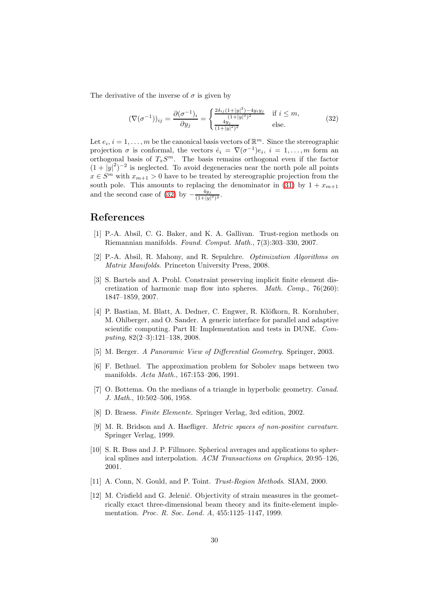The derivative of the inverse of  $\sigma$  is given by

<span id="page-29-12"></span>
$$
(\nabla(\sigma^{-1}))_{ij} = \frac{\partial(\sigma^{-1})_i}{\partial y_j} = \begin{cases} \frac{2\delta_{ij}(1+|y|^2) - 4y_i y_j}{(1+|y|^2)^2} & \text{if } i \le m, \\ \frac{4y_j}{(1+|y|^2)^2} & \text{else.} \end{cases}
$$
(32)

Let  $e_i$ ,  $i = 1, ..., m$  be the canonical basis vectors of  $\mathbb{R}^m$ . Since the stereographic projection  $\sigma$  is conformal, the vectors  $\hat{e}_i = \nabla(\sigma^{-1})e_i$ ,  $i = 1, ..., m$  form an orthogonal basis of  $T_xS^m$ . The basis remains orthogonal even if the factor  $(1+|y|^2)^{-2}$  is neglected. To avoid degeneracies near the north pole all points  $x \in S^m$  with  $x_{m+1} > 0$  have to be treated by stereographic projection from the south pole. This amounts to replacing the denominator in [\(31\)](#page-28-0) by  $1 + x_{m+1}$ and the second case of [\(32\)](#page-29-12) by  $-\frac{4y_j}{(1+|y|)}$  $\frac{4y_j}{(1+|y|^2)^2}$ .

# References

- <span id="page-29-4"></span>[1] P.-A. Absil, C. G. Baker, and K. A. Gallivan. Trust-region methods on Riemannian manifolds. Found. Comput. Math., 7(3):303–330, 2007.
- <span id="page-29-9"></span>[2] P.-A. Absil, R. Mahony, and R. Sepulchre. Optimization Algorithms on Matrix Manifolds. Princeton University Press, 2008.
- <span id="page-29-0"></span>[3] S. Bartels and A. Prohl. Constraint preserving implicit finite element discretization of harmonic map flow into spheres. Math. Comp., 76(260): 1847–1859, 2007.
- <span id="page-29-11"></span>[4] P. Bastian, M. Blatt, A. Dedner, C. Engwer, R. Klöfkorn, R. Kornhuber, M. Ohlberger, and O. Sander. A generic interface for parallel and adaptive scientific computing. Part II: Implementation and tests in DUNE. Computing, 82(2–3):121–138, 2008.
- <span id="page-29-2"></span>[5] M. Berger. A Panoramic View of Differential Geometry. Springer, 2003.
- <span id="page-29-7"></span>[6] F. Bethuel. The approximation problem for Sobolev maps between two manifolds. Acta Math., 167:153–206, 1991.
- <span id="page-29-6"></span>[7] O. Bottema. On the medians of a triangle in hyperbolic geometry. Canad. J. Math., 10:502–506, 1958.
- <span id="page-29-8"></span>[8] D. Braess. Finite Elemente. Springer Verlag, 3rd edition, 2002.
- <span id="page-29-5"></span>[9] M. R. Bridson and A. Haefliger. Metric spaces of non-positive curvature. Springer Verlag, 1999.
- <span id="page-29-3"></span>[10] S. R. Buss and J. P. Fillmore. Spherical averages and applications to spherical splines and interpolation. ACM Transactions on Graphics, 20:95–126, 2001.
- <span id="page-29-10"></span>[11] A. Conn, N. Gould, and P. Toint. Trust-Region Methods. SIAM, 2000.
- <span id="page-29-1"></span>[12] M. Crisfield and G. Jelenić. Objectivity of strain measures in the geometrically exact three-dimensional beam theory and its finite-element implementation. Proc. R. Soc. Lond. A, 455:1125–1147, 1999.